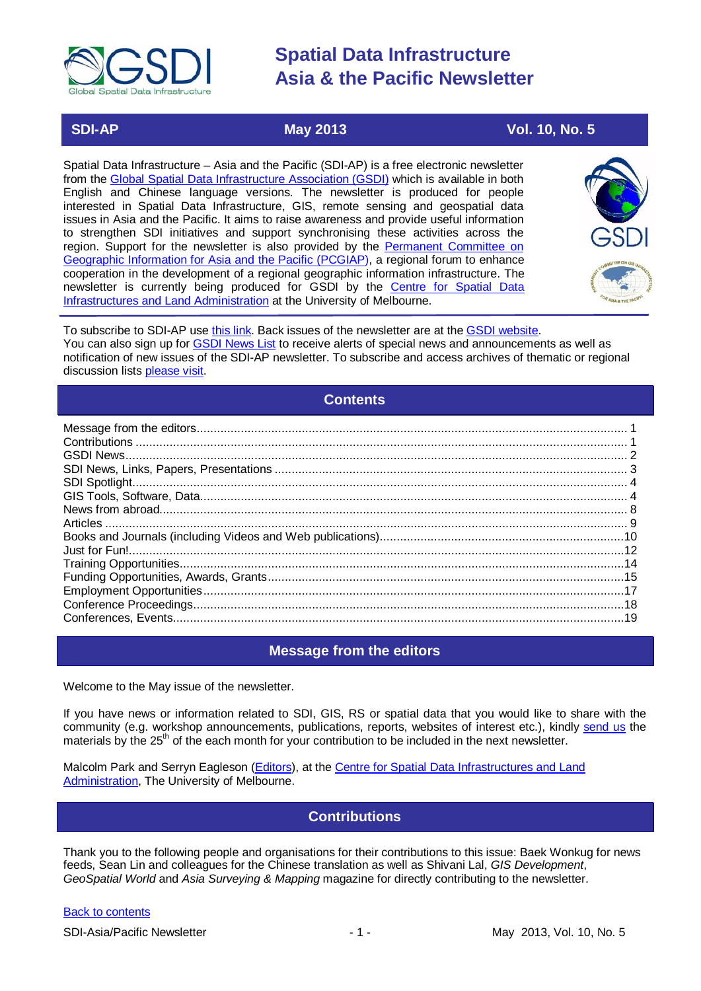

# **SDI-AP May 2013** May 2013 Vol. 10, No. 5

Spatial Data Infrastructure – Asia and the Pacific (SDI-AP) is a free electronic newsletter from the [Global Spatial Data Infrastructure Association \(GSDI\)](http://www.gsdi.org/) which is available in both English and Chinese language versions. The newsletter is produced for people interested in Spatial Data Infrastructure, GIS, remote sensing and geospatial data issues in Asia and the Pacific. It aims to raise awareness and provide useful information to strengthen SDI initiatives and support synchronising these activities across the region. Support for the newsletter is also provided by the Permanent Committee on [Geographic Information for Asia and the Pacific \(PCGIAP\)](http://www.pcgiap.org/), a regional forum to enhance cooperation in the development of a regional geographic information infrastructure. The newsletter is currently being produced for GSDI by the [Centre for Spatial Data](http://www.csdila.unimelb.edu.au/)  [Infrastructures and Land Administration](http://www.csdila.unimelb.edu.au/) at the University of Melbourne.



To subscribe to SDI-AP use [this link.](http://www.gsdi.org/newslist/gsdisubscribe.asp) Back issues of the newsletter are at the [GSDI website.](http://www.gsdi.org/newsletters.asp) You can also sign up for [GSDI News List](http://www.gsdi.org/newslist/gsdisubscribe.asp) to receive alerts of special news and announcements as well as notification of new issues of the SDI-AP newsletter. To subscribe and access archives of thematic or regional discussion lists [please visit.](http://www.gsdi.org/discussionlists.asp)

### **Contents**

<span id="page-0-0"></span>

| 18 |
|----|
|    |
|    |

## **Message from the editors**

<span id="page-0-1"></span>Welcome to the May issue of the newsletter.

If you have news or information related to SDI, GIS, RS or spatial data that you would like to share with the community (e.g. workshop announcements, publications, reports, websites of interest etc.), kindly [send us](mailto:.SDI-AP@gsdi.org) the materials by the 25<sup>th</sup> of the each month for your contribution to be included in the next newsletter.

<span id="page-0-2"></span>Malcolm Park and Serryn Eagleson [\(Editors\)](mailto:Editor.SDIAP@gmail.com), at the [Centre for Spatial Data Infrastructures and Land](http://www.csdila.unimelb.edu.au/)  [Administration,](http://www.csdila.unimelb.edu.au/) The University of Melbourne.

## **Contributions**

Thank you to the following people and organisations for their contributions to this issue: Baek Wonkug for news feeds, Sean Lin and colleagues for the Chinese translation as well as Shivani Lal, *GIS Development*, *GeoSpatial World* and *Asia Surveying & Mapping* magazine for directly contributing to the newsletter.

#### [Back to contents](#page-0-0)

SDI-Asia/Pacific Newsletter 1 - 1 - 1 - 1 - May 2013, Vol. 10, No. 5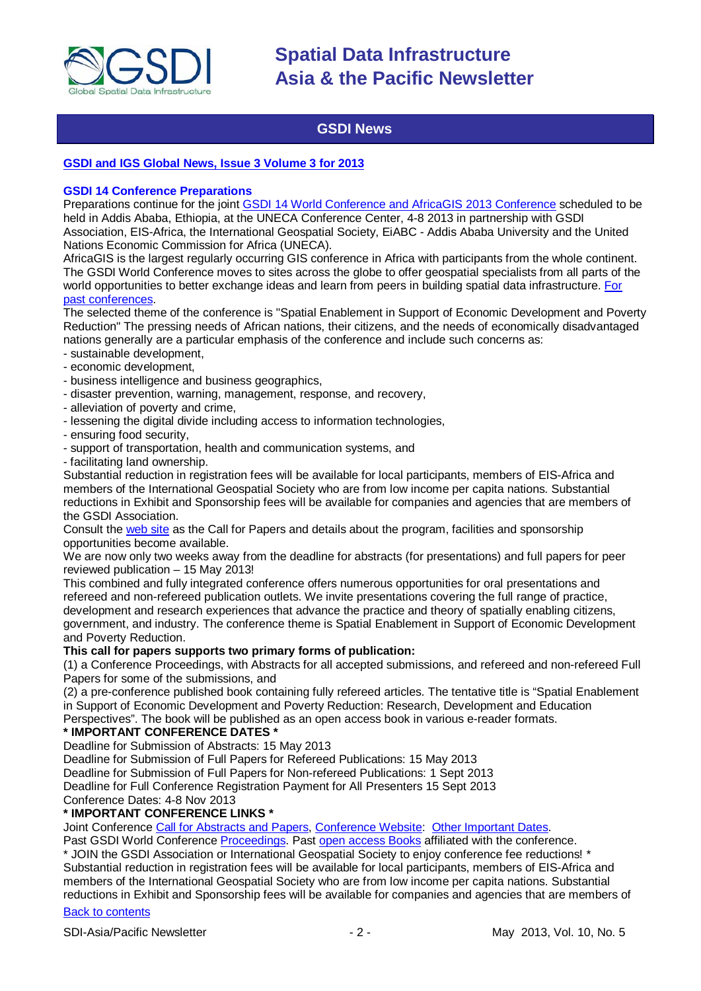

# **GSDI News**

### <span id="page-1-0"></span>**[GSDI and IGS Global News, Issue 3 Volume 3 for 2013](http://www.gsdi.org/newsletters#GSDI)**

#### **GSDI 14 Conference Preparations**

Preparations continue for the joint [GSDI 14 World Conference and AfricaGIS 2013 Conference](http://www.gsdi.org/gsdi14) scheduled to be held in Addis Ababa, Ethiopia, at the UNECA Conference Center, 4-8 2013 in partnership with GSDI Association, EIS-Africa, the International Geospatial Society, EiABC - Addis Ababa University and the United Nations Economic Commission for Africa (UNECA).

AfricaGIS is the largest regularly occurring GIS conference in Africa with participants from the whole continent. The GSDI World Conference moves to sites across the globe to offer geospatial specialists from all parts of the world opportunities to better exchange ideas and learn from peers in building spatial data infrastructure. [For](http://www.gsdi.org/gsdiConferences)  [past conferences.](http://www.gsdi.org/gsdiConferences)

The selected theme of the conference is "Spatial Enablement in Support of Economic Development and Poverty Reduction" The pressing needs of African nations, their citizens, and the needs of economically disadvantaged nations generally are a particular emphasis of the conference and include such concerns as:

- sustainable development,
- economic development,
- business intelligence and business geographics,
- disaster prevention, warning, management, response, and recovery,
- alleviation of poverty and crime,
- lessening the digital divide including access to information technologies,
- ensuring food security,
- support of transportation, health and communication systems, and
- facilitating land ownership.

Substantial reduction in registration fees will be available for local participants, members of EIS-Africa and members of the International Geospatial Society who are from low income per capita nations. Substantial reductions in Exhibit and Sponsorship fees will be available for companies and agencies that are members of the GSDI Association.

Consult the [web site](http://gsdi.org/gsdi14) as the Call for Papers and details about the program, facilities and sponsorship opportunities become available.

We are now only two weeks away from the deadline for abstracts (for presentations) and full papers for peer reviewed publication – 15 May 2013!

This combined and fully integrated conference offers numerous opportunities for oral presentations and refereed and non-refereed publication outlets. We invite presentations covering the full range of practice, development and research experiences that advance the practice and theory of spatially enabling citizens, government, and industry. The conference theme is Spatial Enablement in Support of Economic Development and Poverty Reduction.

#### **This call for papers supports two primary forms of publication:**

(1) a Conference Proceedings, with Abstracts for all accepted submissions, and refereed and non-refereed Full Papers for some of the submissions, and

(2) a pre-conference published book containing fully refereed articles. The tentative title is "Spatial Enablement in Support of Economic Development and Poverty Reduction: Research, Development and Education Perspectives". The book will be published as an open access book in various e-reader formats.

#### **\* IMPORTANT CONFERENCE DATES \***

Deadline for Submission of Abstracts: 15 May 2013

Deadline for Submission of Full Papers for Refereed Publications: 15 May 2013

Deadline for Submission of Full Papers for Non-refereed Publications: 1 Sept 2013

Deadline for Full Conference Registration Payment for All Presenters 15 Sept 2013

Conference Dates: 4-8 Nov 2013

#### **\* IMPORTANT CONFERENCE LINKS \***

Joint Conference [Call for Abstracts and Papers,](http://www.gsdi.org/gsdiconf/gsdi14/papercall.html) [Conference Website:](http://www.gsdi.org/gsdi14) [Other Important Dates.](http://www.gsdi.org/gsdiconf/gsdi14/dates.html)

Past GSDI World Conference [Proceedings.](http://www.gsdi.org/gsdiConferences) Past [open access Books](http://www.gsdi.org/openaccessbooks) affiliated with the conference.

\* JOIN the GSDI Association or International Geospatial Society to enjoy conference fee reductions! \* Substantial reduction in registration fees will be available for local participants, members of EIS-Africa and members of the International Geospatial Society who are from low income per capita nations. Substantial reductions in Exhibit and Sponsorship fees will be available for companies and agencies that are members of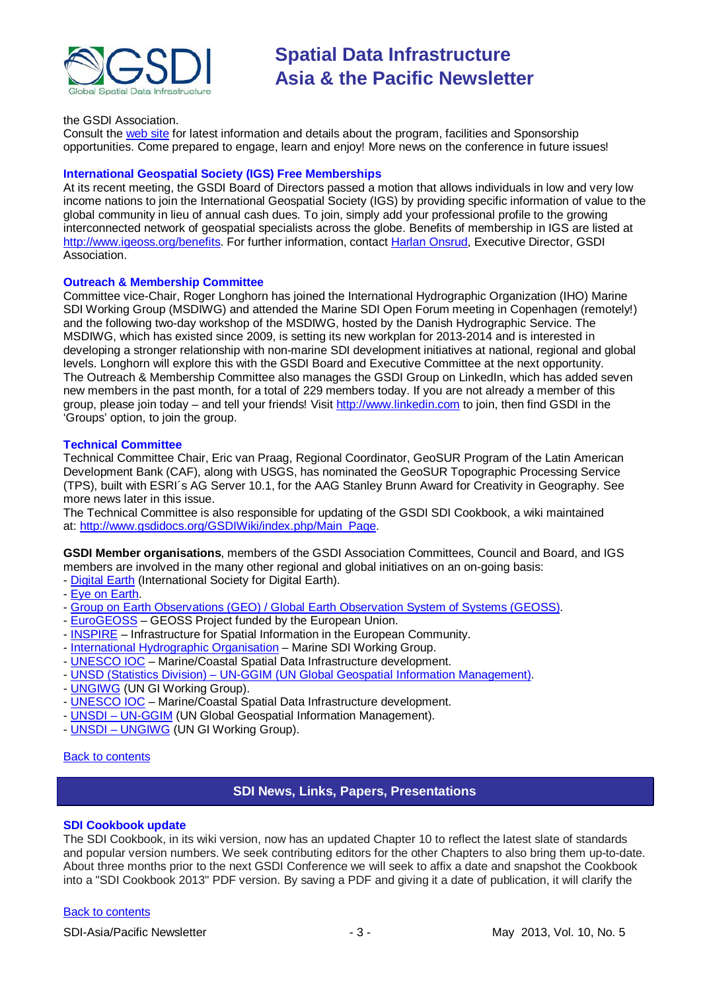

#### the GSDI Association.

Consult the [web site](http://gsdi.org/gsdi14/) for latest information and details about the program, facilities and Sponsorship opportunities. Come prepared to engage, learn and enjoy! More news on the conference in future issues!

#### **International Geospatial Society (IGS) Free Memberships**

At its recent meeting, the GSDI Board of Directors passed a motion that allows individuals in low and very low income nations to join the International Geospatial Society (IGS) by providing specific information of value to the global community in lieu of annual cash dues. To join, simply add your professional profile to the growing interconnected network of geospatial specialists across the globe. Benefits of membership in IGS are listed at [http://www.igeoss.org/benefits.](https://owa.unimelb.edu.au/owa/redir.aspx?C=54c2b4d3973d480282dc7c38384f4204&URL=http%3a%2f%2fwww.igeoss.org%2fbenefits) For further information, contact [Harlan Onsrud,](mailto:onsrud@gsdi.org) Executive Director, GSDI Association.

#### **Outreach & Membership Committee**

Committee vice-Chair, Roger Longhorn has joined the International Hydrographic Organization (IHO) Marine SDI Working Group (MSDIWG) and attended the Marine SDI Open Forum meeting in Copenhagen (remotely!) and the following two-day workshop of the MSDIWG, hosted by the Danish Hydrographic Service. The MSDIWG, which has existed since 2009, is setting its new workplan for 2013-2014 and is interested in developing a stronger relationship with non-marine SDI development initiatives at national, regional and global levels. Longhorn will explore this with the GSDI Board and Executive Committee at the next opportunity. The Outreach & Membership Committee also manages the GSDI Group on LinkedIn, which has added seven new members in the past month, for a total of 229 members today. If you are not already a member of this group, please join today – and tell your friends! Visit [http://www.linkedin.com](https://owa.unimelb.edu.au/owa/redir.aspx?C=rDg2dzQe3UKfwin28aspI4dcf2EJ4c8IKc_jDEPg91nlCdVQBzUX28or6ioXGu07OXWheK19Jyk.&URL=http%3a%2f%2fwww.linkedin.com) to join, then find GSDI in the 'Groups' option, to join the group.

#### **Technical Committee**

Technical Committee Chair, Eric van Praag, Regional Coordinator, GeoSUR Program of the Latin American Development Bank (CAF), along with USGS, has nominated the GeoSUR Topographic Processing Service (TPS), built with ESRI´s AG Server 10.1, for the AAG Stanley Brunn Award for Creativity in Geography. See more news later in this issue.

The Technical Committee is also responsible for updating of the GSDI SDI Cookbook, a wiki maintained at: [http://www.gsdidocs.org/GSDIWiki/index.php/Main\\_Page.](https://owa.unimelb.edu.au/owa/redir.aspx?C=rDg2dzQe3UKfwin28aspI4dcf2EJ4c8IKc_jDEPg91nlCdVQBzUX28or6ioXGu07OXWheK19Jyk.&URL=http%3a%2f%2fwww.gsdidocs.org%2fGSDIWiki%2findex.php%2fMain_Page)

**GSDI Member organisations**, members of the GSDI Association Committees, Council and Board, and IGS members are involved in the many other regional and global initiatives on an on-going basis:

- [Digital Earth](http://www.digitalearth-isde.org/) (International Society for Digital Earth).
- [Eye on Earth.](http://www.eyeonearth.org/)
- [Group on Earth Observations \(GEO\) / Global Earth Observation System of](http://www.earthobservations.org/) Systems (GEOSS).
- [EuroGEOSS](http://www.eurogeoss.eu/default.aspx) GEOSS Project funded by the European Union.
- [INSPIRE](http://www.inspire.jrc.ec.europa.eu/) Infrastructure for Spatial Information in the European Community.
- [International Hydrographic Organisation](http://www.iho.int/) Marine SDI Working Group.
- [UNESCO IOC](http://www.iode.org/) Marine/Coastal Spatial Data Infrastructure development.
- UNSD (Statistics Division) [UN-GGIM \(UN Global Geospatial Information Management\).](http://www.ggim.un.org/)
- [UNGIWG](http://www.ungiwg.org/) (UN GI Working Group).
- [UNESCO IOC](http://www.iode.org/) Marine/Coastal Spatial Data Infrastructure development.
- UNSDI [UN-GGIM](http://www.ggim.un.org/) (UN Global Geospatial Information Management).
- UNSDI [UNGIWG](http://www.ungiwg.org/) (UN GI Working Group).

#### <span id="page-2-0"></span>[Back to contents](#page-0-0)

#### **SDI News, Links, Papers, Presentations**

#### **SDI Cookbook update**

The SDI Cookbook, in its wiki version, now has an updated Chapter 10 to reflect the latest slate of standards and popular version numbers. We seek contributing editors for the other Chapters to also bring them up-to-date. About three months prior to the next GSDI Conference we will seek to affix a date and snapshot the Cookbook into a "SDI Cookbook 2013" PDF version. By saving a PDF and giving it a date of publication, it will clarify the

#### [Back to contents](#page-0-0)

SDI-Asia/Pacific Newsletter  $\sim$  3 - May 2013, Vol. 10, No. 5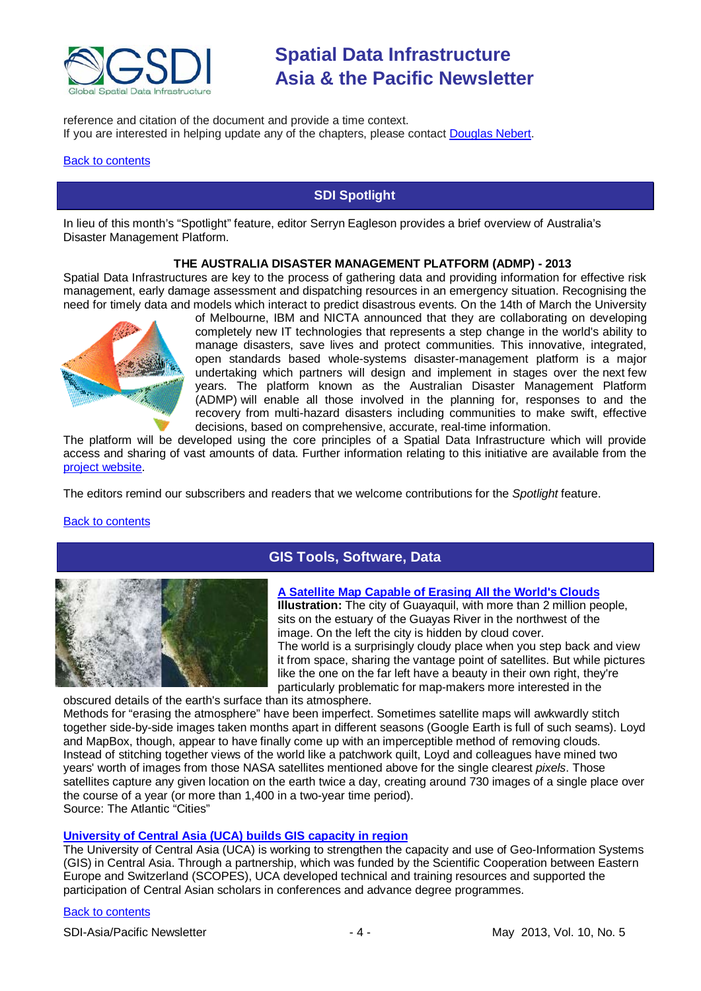

reference and citation of the document and provide a time context. If you are interested in helping update any of the chapters, please contact [Douglas Nebert.](mailto:ddnebert@usgs.gov)

#### <span id="page-3-0"></span>**[Back to contents](#page-0-0)**

### **SDI Spotlight**

In lieu of this month's "Spotlight" feature, editor Serryn Eagleson provides a brief overview of Australia's Disaster Management Platform.

#### **THE AUSTRALIA DISASTER MANAGEMENT PLATFORM (ADMP) - 2013**

Spatial Data Infrastructures are key to the process of gathering data and providing information for effective risk management, early damage assessment and dispatching resources in an emergency situation. Recognising the need for timely data and models which interact to predict disastrous events. On the 14th of March the University



of Melbourne, IBM and NICTA announced that they are collaborating on developing completely new IT technologies that represents a step change in the world's ability to manage disasters, save lives and protect communities. This innovative, integrated, open standards based whole-systems disaster-management platform is a major undertaking which partners will design and implement in stages over the next few years. The platform known as the Australian Disaster Management Platform (ADMP) will enable all those involved in the planning for, responses to and the recovery from multi-hazard disasters including communities to make swift, effective decisions, based on comprehensive, accurate, real-time information.

The platform will be developed using the core principles of a Spatial Data Infrastructure which will provide access and sharing of vast amounts of data. Further information relating to this initiative are available from the [project website.](http://www.admp.org.au/)

The editors remind our subscribers and readers that we welcome contributions for the *Spotlight* feature.

#### <span id="page-3-1"></span>[Back to contents](#page-0-0)



## **GIS Tools, Software, Data**

#### **[A Satellite Map Capable of Erasing All the World's Clouds](http://www.theatlanticcities.com/technology/2013/04/satellite-map-capable-erasing-all-worlds-clouds/5176/)**

**Illustration:** The city of Guayaquil, with more than 2 million people, sits on the estuary of the Guayas River in the northwest of the image. On the left the city is hidden by cloud cover. The world is a surprisingly cloudy place when you step back and view it from space, sharing the vantage point of satellites. But while pictures like the one on the far left have a beauty in their own right, they're particularly problematic for map-makers more interested in the

obscured details of the earth's surface than its atmosphere. Methods for "erasing the atmosphere" have been imperfect. Sometimes satellite maps will awkwardly stitch together side-by-side images taken months apart in different seasons (Google Earth is [full of such seams\)](http://abstractseasonchanges.tumblr.com/). Loyd and MapBox, though, appear to have finally come up with an [imperceptible method of removing clouds.](http://mapbox.com/blog/improving-mapbox-satellite-by-making-clouds-disappear/) Instead of stitching together views of the world like a patchwork quilt, Loyd and colleagues have mined two years' worth of images from those NASA satellites mentioned above for the single clearest *pixels*. Those satellites capture any given location on the earth twice a day, creating around 730 images of a single place over the course of a year (or more than 1,400 in a two-year time period). Source: The Atlantic "Cities"

#### **[University of Central Asia \(UCA\) builds GIS capacity in region](http://www.ucentralasia.org/news.asp?Nid=506)**

The University of Central Asia (UCA) is working to strengthen the capacity and use of Geo-Information Systems (GIS) in Central Asia. Through a partnership, which was funded by the Scientific Cooperation between Eastern Europe and Switzerland (SCOPES), UCA developed technical and training resources and supported the participation of Central Asian scholars in conferences and advance degree programmes.

#### [Back to contents](#page-0-0)

SDI-Asia/Pacific Newsletter - 4 - May 2013, Vol. 10, No. 5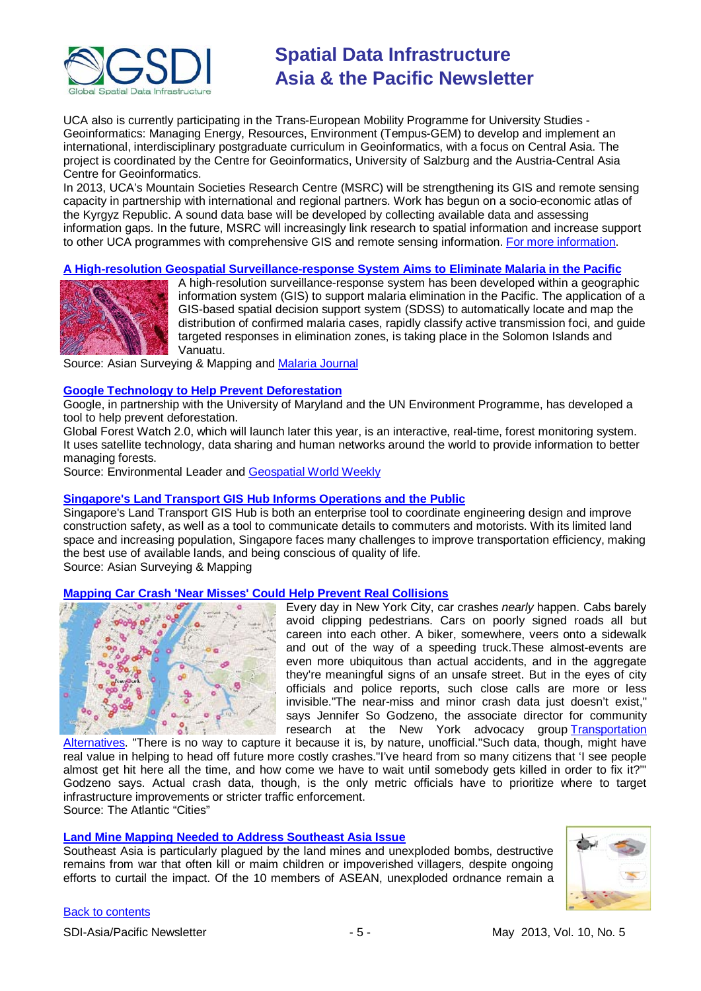

UCA also is currently participating in the Trans-European Mobility Programme for University Studies - Geoinformatics: Managing Energy, Resources, Environment (Tempus-GEM) to develop and implement an international, interdisciplinary postgraduate curriculum in Geoinformatics, with a focus on Central Asia. The project is coordinated by the Centre for Geoinformatics, University of Salzburg and the Austria-Central Asia Centre for Geoinformatics.

In 2013, UCA's Mountain Societies Research Centre (MSRC) will be strengthening its GIS and remote sensing capacity in partnership with international and regional partners. Work has begun on a socio-economic atlas of the Kyrgyz Republic. A sound data base will be developed by collecting available data and assessing information gaps. In the future, MSRC will increasingly link research to spatial information and increase support to other UCA programmes with comprehensive GIS and remote sensing information. [For more information.](http://msrc.ucentralasia.org/)

#### **[A High-resolution Geospatial Surveillance-response System Aims to Eliminate Malaria in the Pacific](http://www.asmmag.com/2012-12-30-14-40-18/feature/4959-a-high-resolution-geospatial-surveillance-response-system-aims-to-eliminate-malaria-in-the-pacific.html)**



A high-resolution surveillance-response system has been developed within a geographic information system (GIS) to support malaria elimination in the Pacific. The application of a GIS-based spatial decision support system (SDSS) to automatically locate and map the distribution of confirmed malaria cases, rapidly classify active transmission foci, and guide targeted responses in elimination zones, is taking place in the Solomon Islands and Vanuatu.

Source: Asian Surveying & Mapping and [Malaria Journal](http://www.malariajournal.com/content/12/1/108/abstract)

#### **[Google Technology to Help Prevent Deforestation](http://www.environmentalleader.com/2013/04/10/google-technology-to-help-prevent-deforestation/)**

Google, in partnership with the University of Maryland and the UN Environment Programme, has developed a tool to help prevent deforestation.

Global Forest Watch 2.0, which will launch later this year, is an interactive, real-time, forest monitoring system. It uses satellite technology, data sharing and human networks around the world to provide information to better managing forests.

Source: Environmental Leader and [Geospatial World Weekly](http://www.geospatialworld.net/News/View.aspx?id=26650_Article&utm_medium=email&utm_source=Act-On+Software&utm_content=email&utm_campaign=Geospatial%20World%20Weekly%20April%2015%2C%20%27013&utm_term=Google%20develops%20real-time%20map%20of%20all%20forests)

#### **[Singapore's Land Transport GIS Hub Informs Operations and the Public](http://www.asmmag.com/2012-12-30-14-40-18/feature/5021-singapore-s-land-transport-gis-hub-informs-operations-and-the-public.html)**

Singapore's Land Transport GIS Hub is both an enterprise tool to coordinate engineering design and improve construction safety, as well as a tool to communicate details to commuters and motorists. With its limited land space and increasing population, Singapore faces many challenges to improve transportation efficiency, making the best use of available lands, and being conscious of quality of life.

Source: Asian Surveying & Mapping

#### **[Mapping Car Crash 'Near Misses' Could Help Prevent Real Collisions](http://www.theatlanticcities.com/commute/2013/04/mapping-near-misses-car-crashes-no-one-ever-sees/5329/)**



Every day in New York City, car crashes *nearly* happen. Cabs barely avoid clipping pedestrians. Cars on poorly signed roads all but careen into each other. A biker, somewhere, veers onto a sidewalk and out of the way of a speeding truck.These almost-events are even more ubiquitous than actual accidents, and in the aggregate they're meaningful signs of an unsafe street. But in the eyes of city officials and police reports, such close calls are more or less invisible."The near-miss and minor crash data just doesn't exist," says Jennifer So Godzeno, the associate director for community research at the New York advocacy group [Transportation](http://www.transalt.org/) 

[Alternatives.](http://www.transalt.org/) "There is no way to capture it because it is, by nature, unofficial."Such data, though, might have real value in helping to head off future more costly crashes."I've heard from so many citizens that 'I see people almost get hit here all the time, and how come we have to wait until somebody gets killed in order to fix it?'" Godzeno says. Actual crash data, though, is the only metric officials have to prioritize where to target infrastructure improvements or stricter traffic enforcement. Source: The Atlantic "Cities"

#### **[Land Mine Mapping Needed to Address Southeast Asia Issue](http://www.asmmag.com/2012-12-30-14-40-18/feature/5052-land-mine-mapping-needed-to-address-southeast-asia-issue.html)**

Southeast Asia is particularly plagued by the land mines and unexploded bombs, destructive remains from war that often kill or maim children or impoverished villagers, despite ongoing efforts to curtail the impact. Of the 10 members of ASEAN, unexploded ordnance remain a

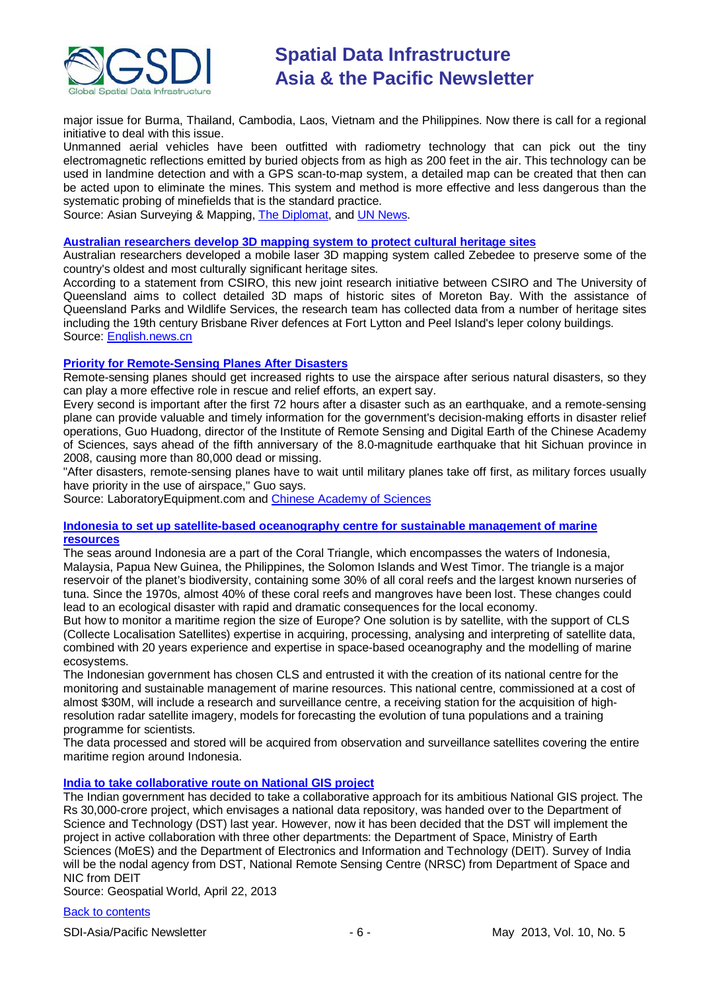

major issue for Burma, Thailand, Cambodia, Laos, Vietnam and the Philippines. Now there is call for a regional initiative to deal with this issue.

Unmanned aerial vehicles have been outfitted with radiometry technology that can pick out the tiny electromagnetic reflections emitted by buried objects from as high as 200 feet in the air. This technology can be used in landmine detection and with a GPS scan-to-map system, a detailed map can be created that then can be acted upon to eliminate the mines. This system and method is more effective and less dangerous than the systematic probing of minefields that is the standard practice.

Source: Asian Surveying & Mapping, [The Diplomat,](http://thediplomat.com/asean-beat/2013/04/11/landmines-still-blight-southeast-asia/) and [UN News.](http://www.un.org/apps/news/story.asp?NewsID=44558&Cr=landmine&Cr1=#.UXcRiKKqZSF)

#### **[Australian researchers develop 3D mapping system to protect cultural heritage sites](http://news.xinhuanet.com/english/sci/2013-04/13/c_132305834.htm)**

Australian researchers developed a mobile laser 3D mapping system called Zebedee to preserve some of the country's oldest and most culturally significant heritage sites.

According to a statement from CSIRO, this new joint research initiative between CSIRO and The University of Queensland aims to collect detailed 3D maps of historic sites of Moreton Bay. With the assistance of Queensland Parks and Wildlife Services, the research team has collected data from a number of heritage sites including the 19th century Brisbane River defences at Fort Lytton and Peel Island's leper colony buildings. Source: [English.news.cn](http://www.xinhuanet.com/english/)

#### **[Priority for Remote-Sensing Planes After Disasters](http://www.laboratoryequipment.com/news/2013/04/remote-sensing-planes-are-helpful-after-disasters)**

Remote-sensing planes should get increased rights to use the airspace after serious natural disasters, so they can play a more effective role in rescue and relief efforts, an expert say.

Every second is important after the first 72 hours after a disaster such as an earthquake, and a remote-sensing plane can provide valuable and timely information for the government's decision-making efforts in disaster relief operations, Guo Huadong, director of the Institute of Remote Sensing and Digital Earth of the Chinese Academy of Sciences, says ahead of the fifth anniversary of the 8.0-magnitude earthquake that hit Sichuan province in 2008, causing more than 80,000 dead or missing.

"After disasters, remote-sensing planes have to wait until military planes take off first, as military forces usually have priority in the use of airspace," Guo says.

Source: LaboratoryEquipment.com and [Chinese Academy of Sciences](http://english.cas.cn/Ne/CASE/201304/t20130415_100822.shtml)

#### **[Indonesia to set up satellite-based oceanography centre for sustainable management of marine](http://www.cls.fr/documents/cls/presse/communiques/cp_indeso_en_2013.pdf)  [resources](http://www.cls.fr/documents/cls/presse/communiques/cp_indeso_en_2013.pdf)**

The seas around Indonesia are a part of the Coral Triangle, which encompasses the waters of Indonesia, Malaysia, Papua New Guinea, the Philippines, the Solomon Islands and West Timor. The triangle is a major reservoir of the planet's biodiversity, containing some 30% of all coral reefs and the largest known nurseries of tuna. Since the 1970s, almost 40% of these coral reefs and mangroves have been lost. These changes could lead to an ecological disaster with rapid and dramatic consequences for the local economy.

But how to monitor a maritime region the size of Europe? One solution is by satellite, with the support of CLS (Collecte Localisation Satellites) expertise in acquiring, processing, analysing and interpreting of satellite data, combined with 20 years experience and expertise in space-based oceanography and the modelling of marine ecosystems.

The Indonesian government has chosen CLS and entrusted it with the creation of its national centre for the monitoring and sustainable management of marine resources. This national centre, commissioned at a cost of almost \$30M, will include a research and surveillance centre, a receiving station for the acquisition of highresolution radar satellite imagery, models for forecasting the evolution of tuna populations and a training programme for scientists.

The data processed and stored will be acquired from observation and surveillance satellites covering the entire maritime region around Indonesia.

#### **[India to take collaborative route on National GIS project](http://www.geospatialworld.net/News/View.aspx?id=26708_Article)**

The Indian government has decided to take a collaborative approach for its ambitious National GIS project. The Rs 30,000-crore project, which envisages a national data repository, was handed over to the Department of Science and Technology (DST) last year. However, now it has been decided that the DST will implement the project in active collaboration with three other departments: the Department of Space, Ministry of Earth Sciences (MoES) and the Department of Electronics and Information and Technology (DEIT). Survey of India will be the nodal agency from DST, National Remote Sensing Centre (NRSC) from Department of Space and NIC from DEIT

Source: Geospatial World, April 22, 2013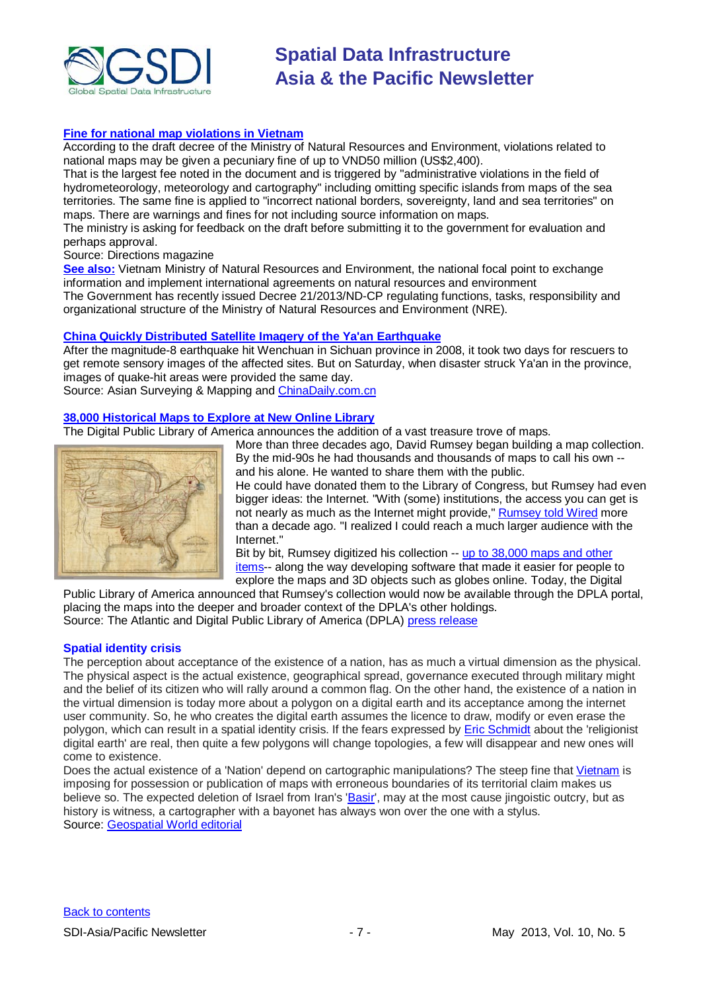

#### **[Fine for national map violations in Vietnam](http://apb.directionsmag.com/entry/fine-for-national-map-violations-in-vietnam-2400/324833)**

According to the draft decree of the Ministry of Natural Resources and Environment, violations related to national maps may be given a pecuniary fine of up to VND50 million (US\$2,400).

That is the largest fee noted in the document and is triggered by "administrative violations in the field of hydrometeorology, meteorology and cartography" including omitting specific islands from maps of the sea territories. The same fine is applied to "incorrect national borders, sovereignty, land and sea territories" on maps. There are warnings and fines for not including source information on maps.

The ministry is asking for feedback on the draft before submitting it to the government for evaluation and perhaps approval.

Source: Directions magazine

**[See also:](http://www.monre.gov.vn/v35/default.aspx?tabid=675&CateID=54&ID=125861&Code=TCLL125861)** Vietnam Ministry of Natural Resources and Environment, the national focal point to exchange information and implement international agreements on natural resources and environment The Government has recently issued Decree 21/2013/ND-CP regulating functions, tasks, responsibility and organizational structure of the Ministry of Natural Resources and Environment (NRE).

#### **[China Quickly Distributed Satellite Imagery of the Ya'an Earthquake](http://www.asmmag.com/2012-12-30-14-17-42/headlines/5115-china-quickly-distributed-satellite-imagery-of-the-ya-an-earthquake.html)**

After the magnitude-8 earthquake hit Wenchuan in Sichuan province in 2008, it took two days for rescuers to get remote sensory images of the affected sites. But on Saturday, when disaster struck Ya'an in the province, images of quake-hit areas were provided the same day.

Source: Asian Surveying & Mapping and [ChinaDaily.com.cn](http://usa.chinadaily.com.cn/epaper/2013-04/24/content_16444498.htm)

### **[38,000 Historical Maps to Explore at New Online Library](http://www.theatlantic.com/technology/archive/2013/04/oh-the-places-youll-go-38-000-historical-maps-to-explore-at-new-online-library/275438/)**

The Digital Public Library of America announces the addition of a vast treasure trove of maps. More than three decades ago, David Rumsey began building a map collection.



By the mid-90s he had thousands and thousands of maps to call his own - and his alone. He wanted to share them with the public. He could have donated them to the Library of Congress, but Rumsey had even bigger ideas: the Internet. "With (some) institutions, the access you can get is not nearly as much as the Internet might provide," [Rumsey told](http://www.wired.com/science/discoveries/news/2002/03/50785) Wired more [than a decade ago.](http://www.wired.com/science/discoveries/news/2002/03/50785) "I realized I could reach a much larger audience with the Internet."

Bit by bit, Rumsey digitized his collection -- [up to 38,000 maps and other](http://www.davidrumsey.com/about)  [items-](http://www.davidrumsey.com/about)- along the way developing software that made it easier for people to

explore the maps and 3D objects such as globes online. Today, the Digital Public Library of America announced that Rumsey's collection would now be available through the DPLA portal, placing the maps into the deeper and broader context of the DPLA's other holdings.

Source: The Atlantic and Digital Public Library of America (DPLA) [press release](http://dp.la/info/2013/04/30/digital-public-library-of-america-announces-partnership-with-david-rumsey-map-collection/)

#### **Spatial identity crisis**

The perception about acceptance of the existence of a nation, has as much a virtual dimension as the physical. The physical aspect is the actual existence, geographical spread, governance executed through military might and the belief of its citizen who will rally around a common flag. On the other hand, the existence of a nation in the virtual dimension is today more about a polygon on a digital earth and its acceptance among the internet user community. So, he who creates the digital earth assumes the licence to draw, modify or even erase the polygon, which can result in a spatial identity crisis. If the fears expressed by [Eric Schmidt](http://www.geospatialworld.net/News/View.aspx?id=26724_Article) about the 'religionist digital earth' are real, then quite a few polygons will change topologies, a few will disappear and new ones will come to existence.

Does the actual existence of a 'Nation' depend on cartographic manipulations? The steep fine that [Vietnam](http://www.geospatialworld.net/News/View.aspx?id=26711_Article) is imposing for possession or publication of maps with erroneous boundaries of its territorial claim makes us believe so. The expected deletion of Israel from Iran's ['Basir',](http://www.geospatialworld.net/News/View.aspx?id=26645_Article) may at the most cause jingoistic outcry, but as history is witness, a cartographer with a bayonet has always won over the one with a stylus. Source: [Geospatial World editorial](http://www.geospatialworld.net/newsletter/apr2913.htm?utm_medium=email&utm_source=Act-On+Software&utm_content=email&utm_campaign=Geospatial%20World%20Weekly%20April%20%27%27%2C%20%27013&utm_term=Click%20Here)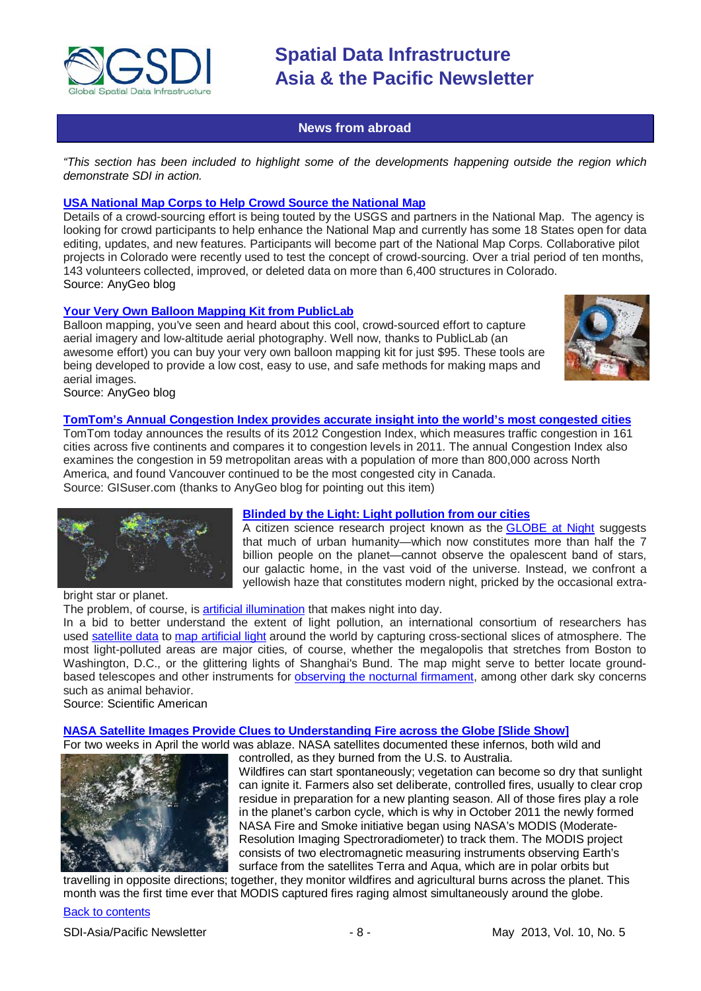

### **News from abroad**

<span id="page-7-0"></span>*"This section has been included to highlight some of the developments happening outside the region which demonstrate SDI in action.*

#### **[USA National Map Corps to Help Crowd Source the National Map](http://blog.gisuser.com/2013/04/02/national-map-corps-to-help-build-the-national-map/)**

Details of a crowd-sourcing effort is being touted by the USGS and partners in the National Map. The agency is looking for crowd participants to help enhance the National Map and currently has some 18 States open for data editing, updates, and new features. Participants will become part of the National Map Corps. Collaborative pilot projects in Colorado were recently used to test the concept of crowd-sourcing. Over a trial period of ten months, 143 volunteers collected, improved, or deleted data on more than 6,400 structures in Colorado. Source: AnyGeo blog

#### **[Your Very Own Balloon Mapping Kit from PublicLab](http://blog.gisuser.com/2013/04/02/your-very-own-balloon-mapping-kit-from-publiclab/)**

Balloon mapping, you've seen and heard about this cool, crowd-sourced effort to capture aerial imagery and low-altitude aerial photography. Well now, thanks to PublicLab (an awesome effort) you can buy your very own balloon mapping kit for just \$95. These tools are being developed to provide a low cost, easy to use, and safe methods for making maps and aerial images.



Source: AnyGeo blog

### **[TomTom's Annual Congestion Index provides accurate insight into the world's most congested cities](http://www.gisuser.com/content/view/29562/2/)**

TomTom today announces the results of its 2012 Congestion Index, which measures traffic congestion in 161 cities across five continents and compares it to congestion levels in 2011. The annual Congestion Index also examines the congestion in 59 metropolitan areas with a population of more than 800,000 across North America, and found Vancouver continued to be the most congested city in Canada. Source: GISuser.com (thanks to AnyGeo blog for pointing out this item)



#### **[Blinded by the Light: Light pollution from our cities](http://www.scientificamerican.com/article.cfm?id=light-pollution&WT.mc_id=SA_CAT_SPCPHYS_20130404)**

A citizen science research project known as the [GLOBE](http://www.globeatnight.org/map/) at Night suggests that much of urban humanity—which now constitutes more than half the 7 billion people on the planet—cannot observe the opalescent band of stars, our galactic home, in the vast void of the universe. Instead, we confront a yellowish haze that constitutes modern night, pricked by the occasional extra-

bright star or planet.

The problem, of course, is artificial [illumination](http://science.nasa.gov/science-news/science-at-nasa/2000/ast15nov_1/) that makes night into day.

In a bid to better understand the extent of light pollution, an international consortium of researchers has used [satellite](http://www.ngdc.noaa.gov/dmsp/dmsp.html) data to map [artificial](http://www.lightpollution.it/worldatlas/pages/fig1.htm) light around the world by capturing cross-sectional slices of atmosphere. The most light-polluted areas are major cities, of course, whether the megalopolis that stretches from Boston to Washington, D.C., or the glittering lights of Shanghai's Bund. The map might serve to better locate groundbased telescopes and other instruments for observing the nocturnal [firmament,](http://www.noao.edu/) among other dark sky concerns such as animal behavior.

Source: Scientific American

#### **[NASA Satellite Images Provide Clues to Understanding Fire across the Globe \[Slide Show\]](http://www.scientificamerican.com/slideshow.cfm?id=nasa-satellite-images-fire-across-globe&WT.mc_id=SA_DD_20130423)**

For two weeks in April the world was ablaze. NASA satellites documented these infernos, both wild and



controlled, as they burned from the U.S. to Australia. Wildfires can start spontaneously; vegetation can become so dry that sunlight can ignite it. Farmers also set deliberate, controlled fires, usually to clear crop residue in preparation for a new planting season. All of those fires play a role in the planet's carbon cycle, which is why in October 2011 the newly formed NASA Fire and Smoke initiative began using NASA's MODIS (Moderate-Resolution Imaging Spectroradiometer) to track them. The MODIS project consists of two electromagnetic measuring instruments observing Earth's surface from the satellites Terra and Aqua, which are in polar orbits but

travelling in opposite directions; together, they monitor wildfires and agricultural burns across the planet. This month was the first time ever that MODIS captured fires raging almost simultaneously around the globe.

#### [Back to contents](#page-0-0)

SDI-Asia/Pacific Newsletter  $\overline{\phantom{a}}$  - 8 -  $\overline{\phantom{a}}$  May 2013, Vol. 10, No. 5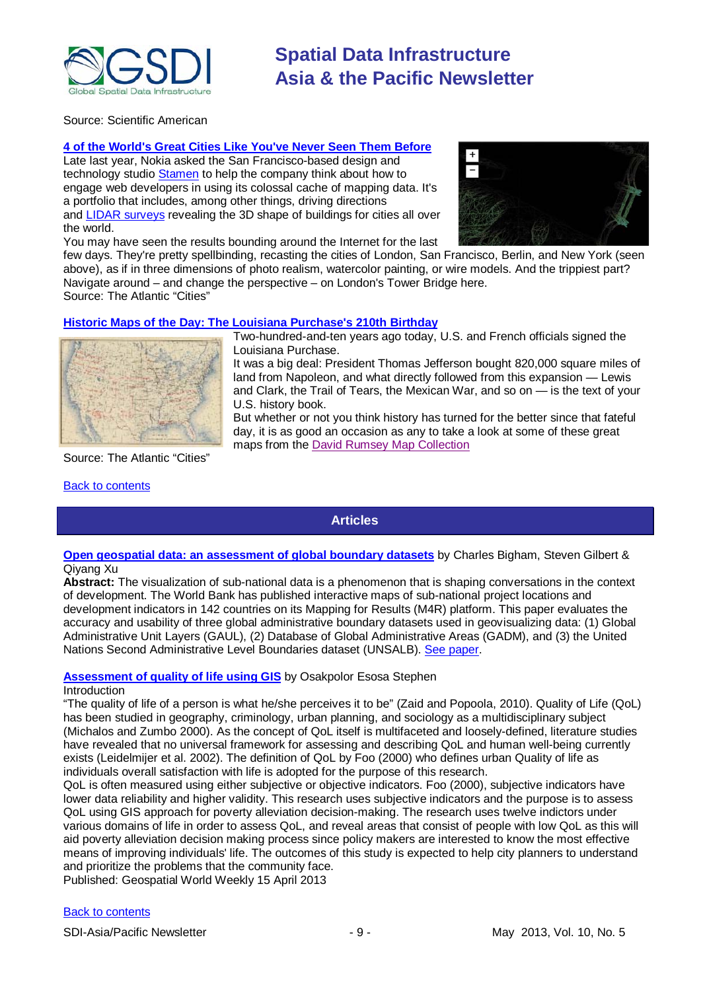

Source: Scientific American

#### **4 of the World's Great Cities Like You've Never Seen Them Before**

Late last year, Nokia asked the San Francisco-based design and technology studio [Stamen](http://stamen.com/) to help the company think about how to engage web developers in using its colossal cache of mapping data. It's a portfolio that includes, among other things, driving directions and [LIDAR surveys](https://en.wikipedia.org/wiki/LIDAR) revealing the 3D shape of buildings for cities all over the world.

You may have seen the results bounding around the Internet for the last



few days. They're pretty spellbinding, recasting the cities of London, San Francisco, Berlin, and New York (seen above), as if in three dimensions of photo realism, watercolor painting, or wire models. And the trippiest part? Navigate around – and change the perspective – on London's Tower Bridge here. Source: The Atlantic "Cities"

#### **[Historic Maps of the Day: The Louisiana Purchase's 210th Birthday](http://www.theatlanticcities.com/politics/2013/04/historic-maps-day-louisiana-purchases-210th-birthday/5447/)**



Source: The Atlantic "Cities"

#### <span id="page-8-0"></span>[Back to contents](#page-0-0)

Two-hundred-and-ten years ago today, U.S. and French officials signed the Louisiana Purchase.

It was a big deal: President Thomas Jefferson bought 820,000 square miles of land from Napoleon, and what directly followed from this expansion — Lewis and Clark, the Trail of Tears, the Mexican War, and so on — is the text of your U.S. history book.

But whether or not you think history has turned for the better since that fateful day, it is as good an occasion as any to take a look at some of these great maps from the [David Rumsey Map Collection](http://www.davidrumsey.com/about)

**Articles**

#### **[Open geospatial data: an assessment of global boundary datasets](http://maps.worldbank.org/content/article/open-geospatial-data-assessment-global-boundary-datasets)** by Charles Bigham, Steven Gilbert & Qiyang Xu

**Abstract:** The visualization of sub-national data is a phenomenon that is shaping conversations in the context of development. The World Bank has published interactive maps of sub-national project locations and development indicators in 142 countries on its Mapping for Results (M4R) platform. This paper evaluates the accuracy and usability of three global administrative boundary datasets used in geovisualizing data: (1) Global Administrative Unit Layers (GAUL), (2) Database of Global Administrative Areas (GADM), and (3) the United Nations Second Administrative Level Boundaries dataset (UNSALB). [See paper.](http://www.scribd.com/doc/126694489/Open-Geospatial-Data-an-Assessment-of-Global-Boundary-Datasets)

### **[Assessment of quality of life using GIS](http://www.geospatialworld.net/Paper/Application/ArticleView.aspx?aid=30508&utm_medium=email&utm_source=Act-On+Software&utm_content=email&utm_campaign=Geospatial%20World%20Weekly%20April%2015%2C%20%27013&utm_term=Assessment%20of%20quality%20of%20life%20usi)** by Osakpolor Esosa Stephen

#### Introduction

"The quality of life of a person is what he/she perceives it to be" (Zaid and Popoola, 2010). Quality of Life (QoL) has been studied in geography, criminology, urban planning, and sociology as a multidisciplinary subject (Michalos and Zumbo 2000). As the concept of QoL itself is multifaceted and loosely-defined, literature studies have revealed that no universal framework for assessing and describing QoL and human well-being currently exists (Leidelmijer et al. 2002). The definition of QoL by Foo (2000) who defines urban Quality of life as individuals overall satisfaction with life is adopted for the purpose of this research.

QoL is often measured using either subjective or objective indicators. Foo (2000), subjective indicators have lower data reliability and higher validity. This research uses subjective indicators and the purpose is to assess QoL using GIS approach for poverty alleviation decision-making. The research uses twelve indictors under various domains of life in order to assess QoL, and reveal areas that consist of people with low QoL as this will aid poverty alleviation decision making process since policy makers are interested to know the most effective means of improving individuals' life. The outcomes of this study is expected to help city planners to understand and prioritize the problems that the community face.

Published: Geospatial World Weekly 15 April 2013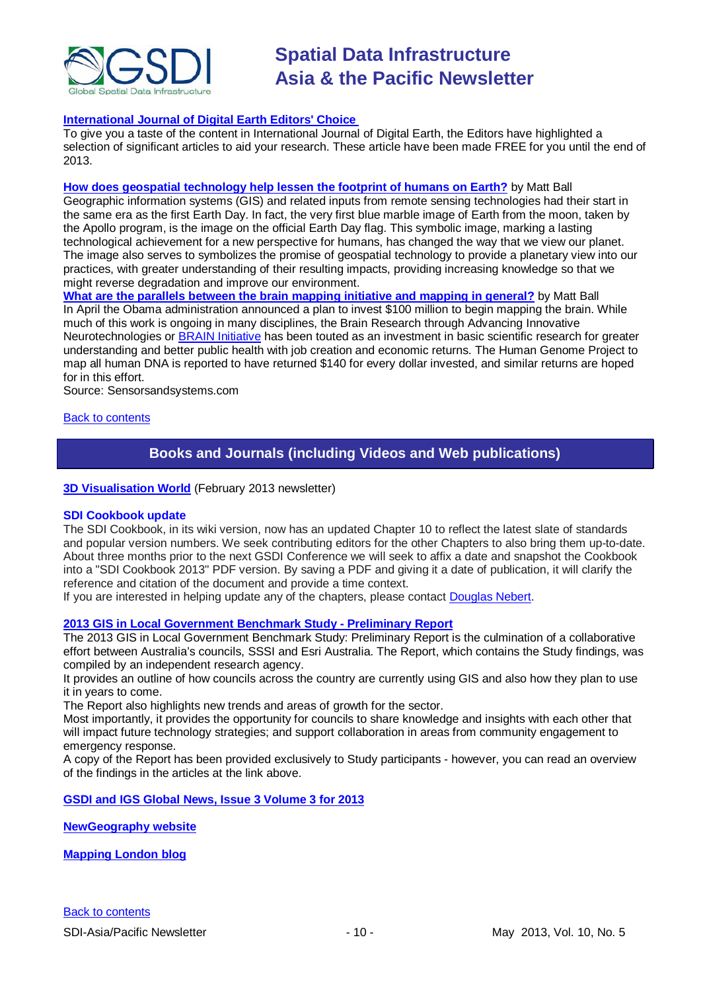

#### **[International Journal of Digital Earth Editors' Choice](http://explore.tandfonline.com/content/est/tjde-editors-choice.php)**

To give you a taste of the content in International Journal of Digital Earth, the Editors have highlighted a selection of significant articles to aid your research. These article have been made FREE for you until the end of 2013.

**[How does geospatial technology help lessen the footprint of humans on Earth?](http://www.sensorsandsystems.com/dialog/perspectives/30133-how-does-geospatial-technology-help-lessen-the-footprint-of-humans-on-earth.html)** by Matt Ball Geographic information systems (GIS) and related inputs from remote sensing technologies had their start in the same era as the first Earth Day. In fact, the very first blue marble image of Earth from the moon, taken by the Apollo program, is the image on the official Earth Day flag. This symbolic image, marking a lasting technological achievement for a new perspective for humans, has changed the way that we view our planet. The image also serves to symbolizes the promise of geospatial technology to provide a planetary view into our practices, with greater understanding of their resulting impacts, providing increasing knowledge so that we might reverse degradation and improve our environment.

**What are [the parallels between the brain mapping initiative and mapping in general?](http://www.sensorsandsystems.com/dialog/perspectives/29991-what-are-some-of-the-parallels-between-the-brain-mapping-initiative-and-mapping-in-general.html)** by Matt Ball In April the Obama administration announced a plan to invest \$100 million to begin mapping the brain. While much of this work is ongoing in many disciplines, the Brain Research through Advancing Innovative Neurotechnologies or [BRAIN Initiative](http://www.whitehouse.gov/the-press-office/2013/04/02/fact-sheet-brain-initiative) has been touted as an investment in basic scientific research for greater understanding and better public health with job creation and economic returns. The Human Genome Project to map all human DNA is reported to have returned \$140 for every dollar invested, and similar returns are hoped for in this effort.

Source: Sensorsandsystems.com

#### <span id="page-9-0"></span>[Back to contents](#page-0-0)

# **Books and Journals (including Videos and Web publications)**

#### **[3D Visualisation World](http://visitor.benchmarkemail.com/c/v?e=27708A&c=27A3B&l=42E79F4&email=20i0rPjCDuEQfH2i1glrmJemkgBQcCdv&relid=4C4A98BD)** (February 2013 newsletter)

#### **SDI Cookbook update**

The SDI Cookbook, in its wiki version, now has an updated Chapter 10 to reflect the latest slate of standards and popular version numbers. We seek contributing editors for the other Chapters to also bring them up-to-date. About three months prior to the next GSDI Conference we will seek to affix a date and snapshot the Cookbook into a "SDI Cookbook 2013" PDF version. By saving a PDF and giving it a date of publication, it will clarify the reference and citation of the document and provide a time context.

If you are interested in helping update any of the chapters, please contact [Douglas Nebert.](mailto:ddnebert@usgs.gov)

#### **[2013 GIS in Local Government Benchmark Study -](http://esriaustralia.com.au/benchmark-study) Preliminary Report**

The 2013 GIS in Local Government Benchmark Study: Preliminary Report is the culmination of a collaborative effort between Australia's councils, SSSI and Esri Australia. The Report, which contains the Study findings, was compiled by an independent research agency.

It provides an outline of how councils across the country are currently using GIS and also how they plan to use it in years to come.

The Report also highlights new trends and areas of growth for the sector.

Most importantly, it provides the opportunity for councils to share knowledge and insights with each other that will impact future technology strategies; and support collaboration in areas from community engagement to emergency response.

A copy of the Report has been provided exclusively to Study participants - however, you can read an overview of the findings in the articles at the link above.

#### **[GSDI and IGS Global News, Issue 3 Volume 3 for 2013](http://www.gsdi.org/newsletters#GSDI)**

**[NewGeography website](http://www.newgeography.com/)**

**[Mapping London blog](http://mappinglondon.co.uk/)**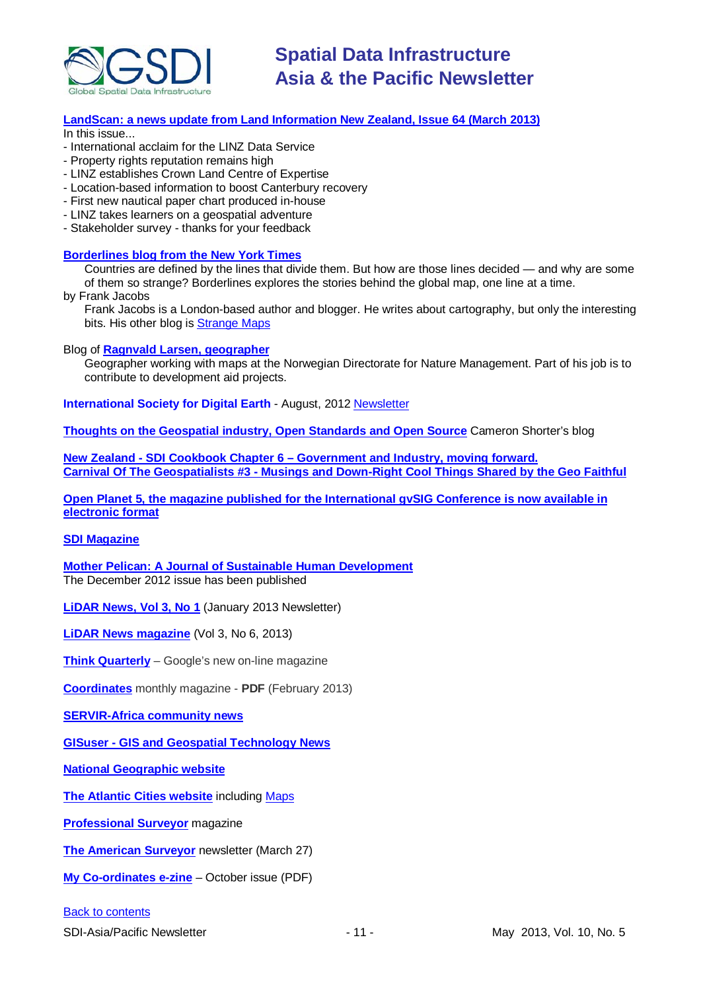

#### **[LandScan: a news update from Land Information New Zealand, Issue 64 \(March 2013\)](http://www.linz.govt.nz/sites/default/files/docs/supporting-info/about-linz/publications/landscan-201303.pdf)**

In this issue...

- International acclaim for the LINZ Data Service
- Property rights reputation remains high
- LINZ establishes Crown Land Centre of Expertise
- Location-based information to boost Canterbury recovery
- First new nautical paper chart produced in-house
- LINZ takes learners on a geospatial adventure
- Stakeholder survey thanks for your feedback

#### **[Borderlines blog from the New York Times](http://opinionator.blogs.nytimes.com/category/borderlines/)**

Countries are defined by the lines that divide them. But how are those lines decided — and why are some of them so strange? Borderlines explores the stories behind the global map, one line at a time.

by Frank Jacobs

Frank Jacobs is a London-based author and blogger. He writes about cartography, but only the interesting bits. His other blog is [Strange Maps](http://bigthink.com/blogs/strange-maps)

#### Blog of **[Ragnvald Larsen, geographer](http://www.mindland.com/wp/)**

Geographer working with maps at the Norwegian Directorate for Nature Management. Part of his job is to contribute to development aid projects.

**International Society for Digital Earth - August, 2012 [Newsletter](http://www.digitalearth-isde.org/news/isde-newsletter(201208).html)** 

**[Thoughts on the Geospatial industry, Open Standards and Open Source](http://cameronshorter.blogspot.com/2011/06/memoirs-of-cat-herder-coordinating.html)** Cameron Shorter's blog

**New Zealand - SDI Cookbook Chapter 6 – [Government and Industry, moving forward.](http://www.geospatial.govt.nz/sdi-cookbook-chapter-6-government-and-industry-moving-forward) Carnival Of The Geospatialists #3 - [Musings and Down-Right Cool Things](http://www.gisuser.com/content/view/25690/28/) Shared by the Geo Faithful**

**[Open Planet 5, the magazine published for the International gvSIG Conference is now available in](http://jornadas.gvsig.org/descargas/magazine)  [electronic format](http://jornadas.gvsig.org/descargas/magazine)**

#### **[SDI Magazine](http://www.sdimag.com/)**

**[Mother Pelican: A Journal of Sustainable Human Development](http://www.pelicanweb.org/solisustv08n12page1.html)** The December 2012 issue has been published

**[LiDAR News, Vol 3, No 1](http://www.lidarnews.com/newsletter/Vol3No1.htm)** (January 2013 Newsletter)

**[LiDAR News magazine](http://www.lidarnews.com/newsletter/Vol3No6.htm)** (Vol 3, No 6, 2013)

**[Think Quarterly](http://thinkquarterly.co.uk/#aboutthebook)** – Google's new on-line magazine

**[Coordinates](http://mycoordinates.org/pdf/feb13.pdf)** monthly magazine - **PDF** (February 2013)

**[SERVIR-Africa community news](http://www.servirglobal.net/africa/en/News/CommunityNews.aspx)**

**GISuser - [GIS and Geospatial Technology News](http://www.gisuser.com/)**

**[National Geographic website](http://www.nationalgeographic.com/)**

**[The Atlantic Cities website](http://www.theatlanticcities.com/)** including [Maps](http://www.theatlanticcities.com/posts/map/)

**[Professional Surveyor](http://www.profsurv.com/)** magazine

**[The American Surveyor](http://www.amerisurv.com/newsletter/27MAR2013.htm)** newsletter (March 27)

**[My Co-ordinates e-zine](http://mycoordinates.org/pdf/oct12.pdf)** – October issue (PDF)

#### [Back to contents](#page-0-0)

SDI-Asia/Pacific Newsletter 1992 11 - 11 - May 2013, Vol. 10, No. 5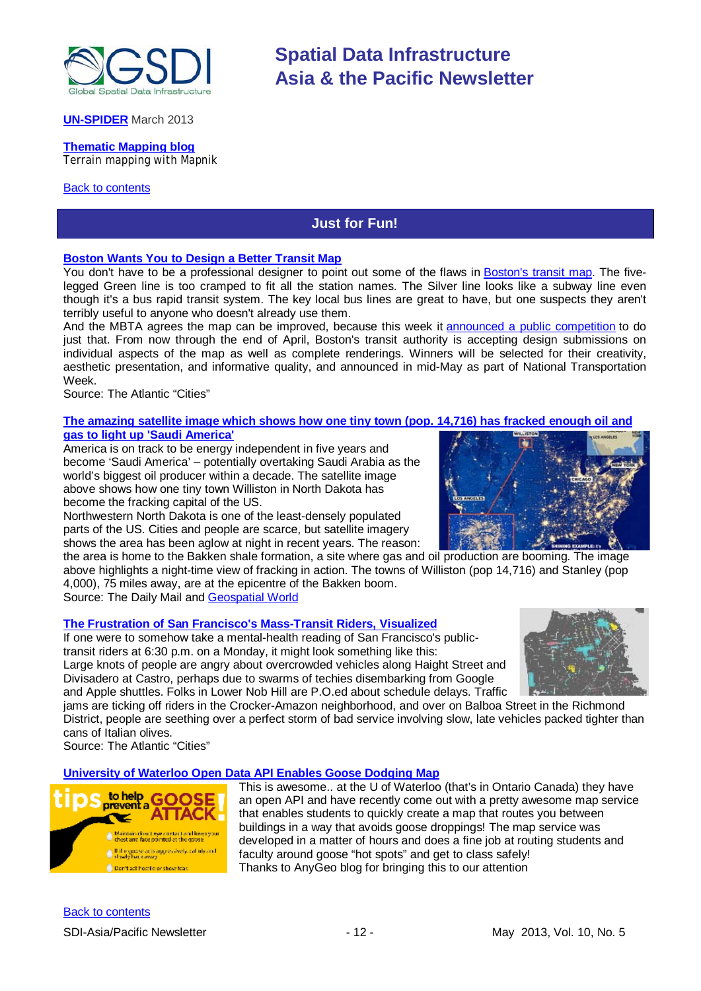

#### **[UN-SPIDER](http://www.un-spider.org/about/updates/un-spider-updates-march-2013)** March 2013

# **[Thematic Mapping blog](http://blog.thematicmapping.org/)**

Terrain mapping with Mapnik

#### <span id="page-11-0"></span>[Back to contents](#page-0-0)

## **Just for Fun!**

**Spatial Data Infrastructure**

**Asia & the Pacific Newsletter**

#### **[Boston Wants You to Design a Better Transit Map](http://www.theatlanticcities.com/commute/2013/04/dear-boston-heres-better-transit-map-you/5260/)**

You don't have to be a professional designer to point out some of the flaws in [Boston's transit map.](http://mbta.com/schedules_and_maps/subway/) The fivelegged Green line is too cramped to fit all the station names. The Silver line looks like a subway line even though it's a bus rapid transit system. The key local bus lines are great to have, but one suspects they aren't terribly useful to anyone who doesn't already use them.

And the MBTA agrees the map can be improved, because this week it announced a [public competition](http://mbta.com/rider_tools/developers/default.asp?id=26569) to do just that. From now through the end of April, Boston's transit authority is accepting design submissions on individual aspects of the map as well as complete renderings. Winners will be selected for their creativity, aesthetic presentation, and informative quality, and announced in mid-May as part of National Transportation Week.

Source: The Atlantic "Cities"

#### **[The amazing satellite image which shows how one tiny town \(pop. 14,716\) has fracked enough oil and](http://www.dailymail.co.uk/news/article-2298228/The-amazing-satellite-image-shows-tiny-town-pop-14-716-fracked-oil-gas-light-Saudi-America.html?ito=feeds-newsxml)  [gas to light up 'Saudi America'](http://www.dailymail.co.uk/news/article-2298228/The-amazing-satellite-image-shows-tiny-town-pop-14-716-fracked-oil-gas-light-Saudi-America.html?ito=feeds-newsxml)**

America is on track to be energy independent in five years and become 'Saudi America' – potentially overtaking Saudi Arabia as the world's biggest oil producer within a decade. The satellite image above shows how one tiny town Williston in North Dakota has become the fracking capital of the US.

Northwestern North Dakota is one of the least-densely populated parts of the US. Cities and people are scarce, but satellite imagery shows the area has been aglow at night in recent years. The reason:

the area is home to the Bakken shale formation, a site where gas and oil production are booming. The image above highlights a night-time view of fracking in action. The towns of Williston (pop 14,716) and Stanley (pop 4,000), 75 miles away, are at the epicentre of the Bakken boom.

Source: The Daily Mail an[d Geospatial World](http://www.geospatialworld.net/ImageoftheWeek/view.aspx?id=127&utm_medium=email&utm_source=Act-On+Software&utm_content=email&utm_campaign=Geospatial%20World%20Weekly%20April%208%2C%20%27013&utm_term=Satellite%20image%20reveals%20fracking%20capital%20of%20t)

#### **[The Frustration of San Francisco's Mass-Transit Riders, Visualized](http://www.theatlanticcities.com/commute/2013/04/frustration-san-franciscos-bus-riders-visualized/5318/)**

If one were to somehow take a mental-health reading of San Francisco's publictransit riders at 6:30 p.m. on a Monday, it might look something like this: Large knots of people are angry about overcrowded vehicles along Haight Street and Divisadero at Castro, perhaps due to swarms of techies disembarking from Google and Apple shuttles. Folks in Lower Nob Hill are P.O.ed about schedule delays. Traffic



jams are ticking off riders in the Crocker-Amazon neighborhood, and over on Balboa Street in the Richmond District, people are seething over a perfect storm of bad service involving slow, late vehicles packed tighter than cans of Italian olives.

Source: The Atlantic "Cities"

#### **[University of Waterloo Open Data API Enables Goose Dodging Map](https://uwaterloo.ca/environment/news/mad%E2%80%99s-goose-dodging-map)**



This is awesome.. at the U of Waterloo (that's in Ontario Canada) they have an open API and have recently come out with a pretty awesome map service that enables students to quickly create a map that routes you between buildings in a way that avoids goose droppings! The map service was developed in a matter of hours and does a fine job at routing students and faculty around goose "hot spots" and get to class safely! Thanks to AnyGeo blog for bringing this to our attention

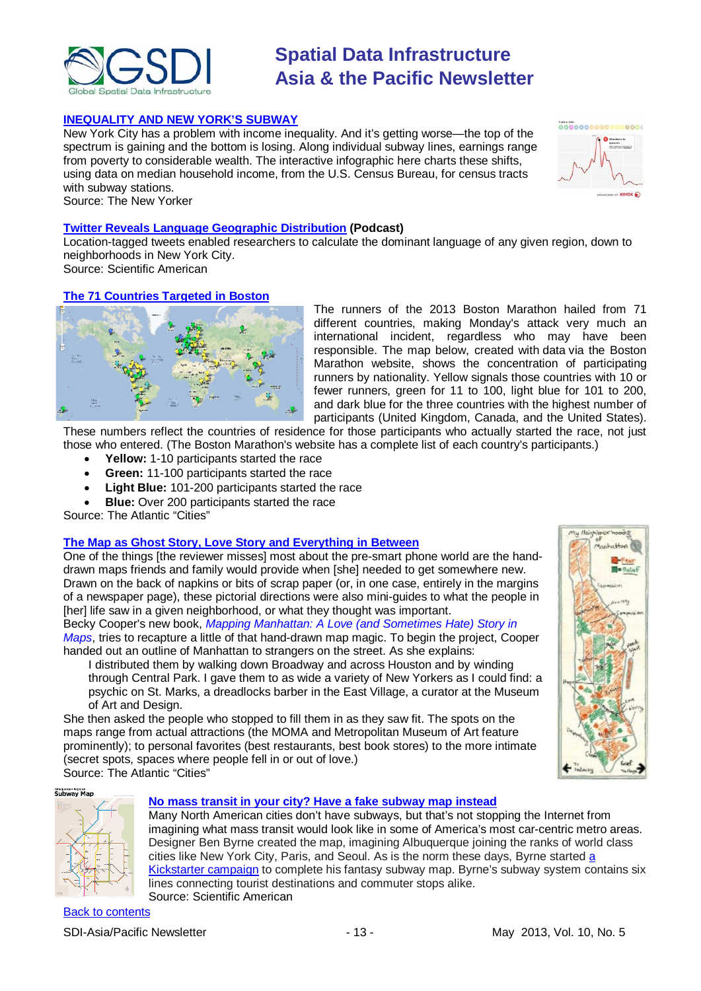

#### **[INEQUALITY AND NEW YORK'S SUBWAY](http://www.newyorker.com/sandbox/business/subway.html)**

New York City has a problem with income inequality. And it's getting worse—the top of the spectrum is gaining and the bottom is losing. Along individual subway lines, earnings range from poverty to considerable wealth. The interactive infographic here charts these shifts, using data on median household income, from the U.S. Census Bureau, for census tracts with subway stations. Source: The New Yorker



My fleishlaschinor Maghatta

#### **[Twitter Reveals Language Geographic Distribution](http://www.scientificamerican.com/podcast/episode.cfm?id=twitter-reveals-language-geographic-13-04-11&WT.mc_id=SA_WR_20130417) (Podcast)**

Location-tagged tweets enabled researchers to calculate the dominant language of any given region, down to neighborhoods in New York City.

Source: Scientific American

### **[The 71 Countries Targeted in Boston](http://www.theatlanticcities.com/neighborhoods/2013/04/71-countries-targeted-boston/5310/)**



The runners of the 2013 Boston Marathon hailed from 71 different countries, making Monday's attack very much an international incident, regardless who may have been responsible. The map below, created with data via the Boston Marathon website, shows the concentration of participating runners by nationality. Yellow signals those countries with 10 or fewer runners, green for 11 to 100, light blue for 101 to 200, and dark blue for the three countries with the highest number of participants (United Kingdom, Canada, and the United States).

These numbers reflect the countries of residence for those participants who actually started the race, not just those who entered. (The Boston Marathon's website has a complete list of each country's participants.)

- **Yellow:** 1-10 participants started the race
- **Green:** 11-100 participants started the race
- **Light Blue:** 101-200 participants started the race
- **Blue:** Over 200 participants started the race

Source: The Atlantic "Cities"

#### **[The Map as Ghost Story, Love Story and Everything in Between](http://www.theatlanticcities.com/arts-and-lifestyle/2013/04/map-ghost-story-love-story-and-everything-between/5274/)**

One of the things [the reviewer misses] most about the pre-smart phone world are the handdrawn maps friends and family would provide when [she] needed to get somewhere new. Drawn on the back of napkins or bits of scrap paper (or, in one case, entirely in the margins of a newspaper page), these pictorial directions were also mini-guides to what the people in [her] life saw in a given neighborhood, or what they thought was important.

Becky Cooper's new book, *[Mapping Manhattan: A Love \(and Sometimes Hate\) Story in](http://www.amazon.com/Mapping-Manhattan-Sometimes-Story-Yorkers/dp/1419706721)  [Maps](http://www.amazon.com/Mapping-Manhattan-Sometimes-Story-Yorkers/dp/1419706721)*, tries to recapture a little of that hand-drawn map magic. To begin the project, Cooper handed out an outline of Manhattan to strangers on the street. As she explains:

I distributed them by walking down Broadway and across Houston and by winding through Central Park. I gave them to as wide a variety of New Yorkers as I could find: a psychic on St. Marks, a dreadlocks barber in the East Village, a curator at the Museum of Art and Design.

She then asked the people who stopped to fill them in as they saw fit. The spots on the maps range from actual attractions (the MOMA and Metropolitan Museum of Art feature prominently); to personal favorites (best restaurants, best book stores) to the more intimate (secret spots, spaces where people fell in or out of love.) Source: The Atlantic "Cities"



#### **[No mass transit in your city? Have a fake subway map instead](http://blogs.scientificamerican.com/plugged-in/2013/04/19/no-mass-transit-in-your-city-have-a-fake-subway-map-instead/?WT_mc_id=SA_DD_20130419)**

Many North American cities don't have subways, but that's not stopping the Internet from imagining what mass transit would look like in some of America's most car-centric metro areas. Designer Ben Byrne created the map, imagining Albuquerque joining the ranks of world class cities like New York City, Paris, and Seoul. As is the norm these days, Byrne started [a](http://www.kickstarter.com/projects/drywall/albuquerque-subway-poster)  [Kickstarter campaign](http://www.kickstarter.com/projects/drywall/albuquerque-subway-poster) to complete his fantasy subway map. Byrne's subway system contains six lines connecting tourist destinations and commuter stops alike. Source: Scientific American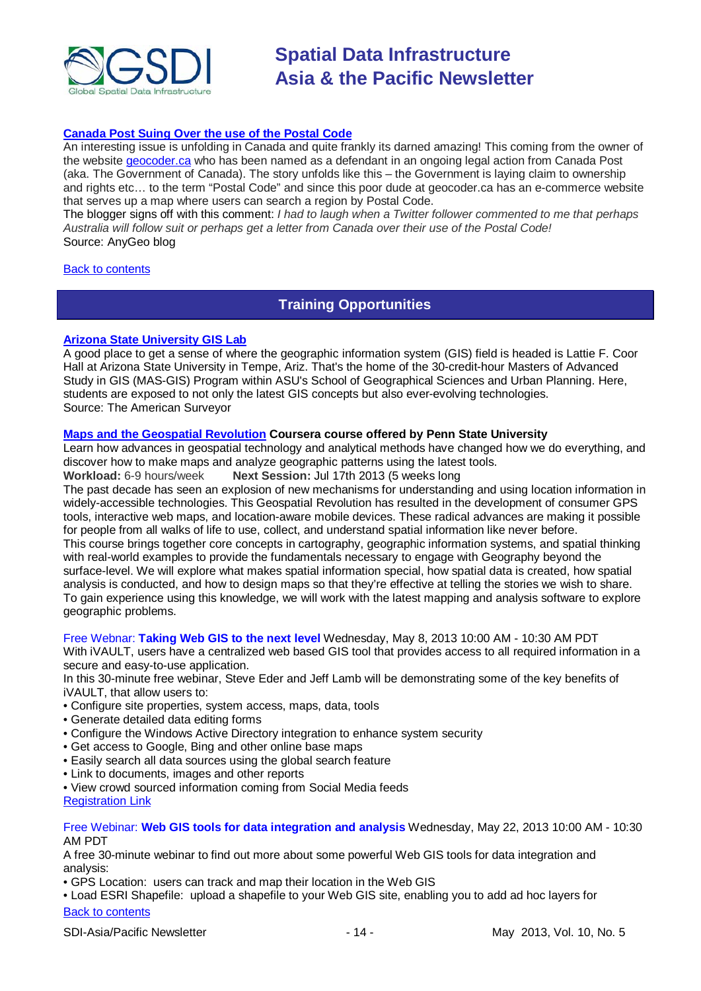

### **[Canada Post Suing Over the use of the Postal Code](http://blog.gisuser.com/2013/04/26/canada-post-suing-over-the-use-of-the-postal-code/)**

An interesting issue is unfolding in Canada and quite frankly its darned amazing! This coming from the owner of the website [geocoder.ca](http://www.geocoder.ca/) who has been named as a defendant in an ongoing legal action from Canada Post (aka. The Government of Canada). The story unfolds like this – the Government is laying claim to ownership and rights etc… to the term "Postal Code" and since this poor dude at geocoder.ca has an e-commerce website that serves up a map where users can search a region by Postal Code.

The blogger signs off with this comment: *I had to laugh when a Twitter follower commented to me that perhaps Australia will follow suit or perhaps get a letter from Canada over their use of the Postal Code!* Source: AnyGeo blog

#### <span id="page-13-0"></span>[Back to contents](#page-0-0)

### **Training Opportunities**

#### **[Arizona State University GIS Lab](http://www.amerisurv.com/content/view/11050/153/)**

A good place to get a sense of where the geographic information system (GIS) field is headed is Lattie F. Coor Hall at Arizona State University in Tempe, Ariz. That's the home of the 30-credit-hour Masters of Advanced Study in GIS (MAS-GIS) Program within ASU's School of Geographical Sciences and Urban Planning. Here, students are exposed to not only the latest GIS concepts but also ever-evolving technologies. Source: The American Surveyor

#### **[Maps and the Geospatial Revolution](https://www.coursera.org/course/maps) Coursera course offered by Penn State University**

Learn how advances in geospatial technology and analytical methods have changed how we do everything, and discover how to make maps and analyze geographic patterns using the latest tools.

**Workload:** 6-9 hours/week **Next Session:** Jul 17th 2013 (5 weeks long

The past decade has seen an explosion of new mechanisms for understanding and using location information in widely-accessible technologies. This Geospatial Revolution has resulted in the development of consumer GPS tools, interactive web maps, and location-aware mobile devices. These radical advances are making it possible for people from all walks of life to use, collect, and understand spatial information like never before. This course brings together core concepts in cartography, geographic information systems, and spatial thinking with real-world examples to provide the fundamentals necessary to engage with Geography beyond the surface-level. We will explore what makes spatial information special, how spatial data is created, how spatial analysis is conducted, and how to design maps so that they're effective at telling the stories we wish to share. To gain experience using this knowledge, we will work with the latest mapping and analysis software to explore geographic problems.

#### Free Webnar: **[Taking Web GIS to the next level](https://owa.unimelb.edu.au/owa/redir.aspx?C=NWPRpfrXtUCTWZF4Vsx1OkhknBYPGNAI90Ti02hzBIDf50E8FXGzcJUqP6oBDXPaJpBve_ip_PE.&URL=https%3a%2f%2fwww4.gotomeeting.com%2fregister%2f921216927)** Wednesday, May 8, 2013 10:00 AM - 10:30 AM PDT

With iVAULT, users have a centralized web based GIS tool that provides access to all required information in a secure and easy-to-use application.

In this 30-minute free webinar, Steve Eder and Jeff Lamb will be demonstrating some of the key benefits of iVAULT, that allow users to:

- Configure site properties, system access, maps, data, tools
- Generate detailed data editing forms
- Configure the Windows Active Directory integration to enhance system security
- Get access to Google, Bing and other online base maps
- Easily search all data sources using the global search feature
- Link to documents, images and other reports
- View crowd sourced information coming from Social Media feeds

[Registration Link](https://www4.gotomeeting.com/register/921216927)

#### Free Webinar: **Web GIS tools for data integration and analysis** Wednesday, May 22, 2013 10:00 AM - 10:30 AM PDT

A free 30-minute webinar to find out more about some powerful Web GIS tools for data integration and analysis:

• GPS Location: users can track and map their location in the Web GIS

[Back to contents](#page-0-0) • Load ESRI Shapefile: upload a shapefile to your Web GIS site, enabling you to add ad hoc layers for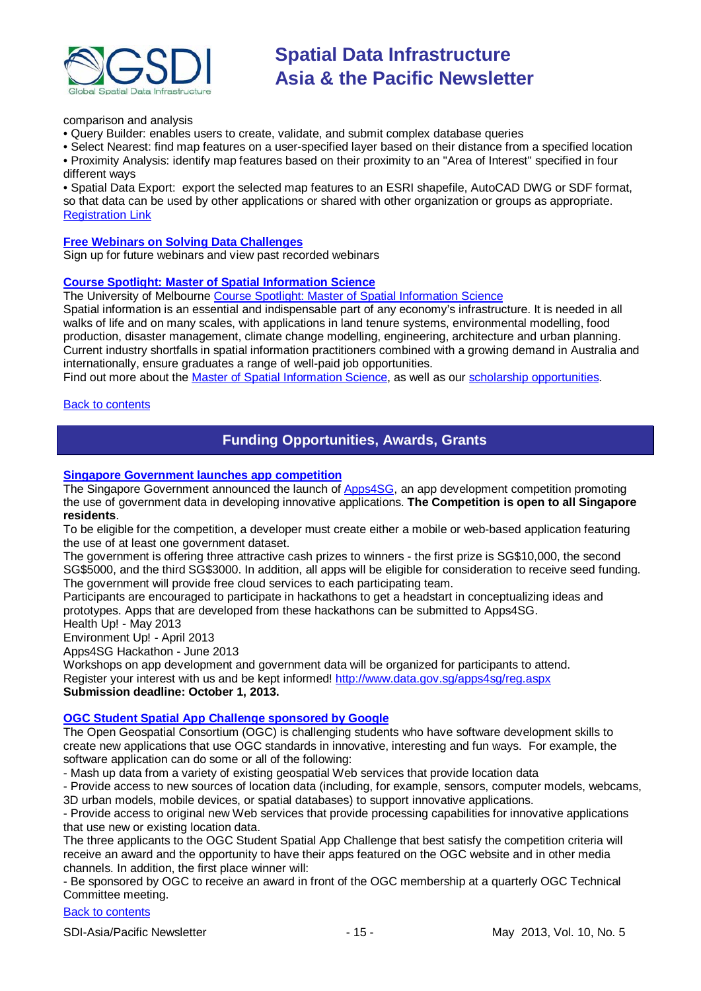

comparison and analysis

• Query Builder: enables users to create, validate, and submit complex database queries

• Select Nearest: find map features on a user-specified layer based on their distance from a specified location • Proximity Analysis: identify map features based on their proximity to an "Area of Interest" specified in four different ways

• Spatial Data Export: export the selected map features to an ESRI shapefile, AutoCAD DWG or SDF format, so that data can be used by other applications or shared with other organization or groups as appropriate. **[Registration Link](https://www4.gotomeeting.com/register/802890775)** 

#### **[Free Webinars on Solving Data Challenges](http://www.safe.com/learning/webinars/)**

Sign up for future webinars and view past recorded webinars

#### **[Course Spotlight: Master of Spatial Information Science](http://themelbourneengineer.eng.unimelb.edu.au/2012/02/course-spotlight-master-of-spatial-information-science/)**

The University of Melbourne [Course Spotlight: Master of Spatial Information Science](http://themelbourneengineer.eng.unimelb.edu.au/2012/02/course-spotlight-master-of-spatial-information-science/)

Spatial information is an essential and indispensable part of any economy's infrastructure. It is needed in all walks of life and on many scales, with applications in land tenure systems, environmental modelling, food production, disaster management, climate change modelling, engineering, architecture and urban planning. Current industry shortfalls in spatial information practitioners combined with a growing demand in Australia and internationally, ensure graduates a range of well-paid job opportunities.

Find out more about the [Master of Spatial Information Science,](http://www.msi.unimelb.edu.au/study/graduate/master-of-spatial-information-science/) as well as our [scholarship opportunities.](http://www.eng.unimelb.edu.au/study/graduate/scholarships.html)

#### <span id="page-14-0"></span>**[Back to contents](#page-0-0)**

## **Funding Opportunities, Awards, Grants**

#### **[Singapore Government launches](http://www.futuregov.asia/articles/2013/apr/03/singapore-government-launches-app-competition/) app competition**

The Singapore Government announced the launch of [Apps4SG,](http://www.data.gov.sg/apps4sg/) an app development competition promoting the use of government data in developing innovative applications. **The Competition is open to all Singapore residents**.

To be eligible for the competition, a developer must create either a mobile or web-based application featuring the use of at least one government dataset.

The government is offering three attractive cash prizes to winners - the first prize is SG\$10,000, the second SG\$5000, and the third SG\$3000. In addition, all apps will be eligible for consideration to receive seed funding. The government will provide free cloud services to each participating team.

Participants are encouraged to participate in hackathons to get a headstart in conceptualizing ideas and prototypes. Apps that are developed from these hackathons can be submitted to Apps4SG.

Health Up! - May 2013

Environment Up! - April 2013

Apps4SG Hackathon - June 2013

Workshops on app development and government data will be organized for participants to attend. Register your interest with us and be kept informed! [http://www.data.gov.sg/apps4sg/reg.aspx](https://owa.unimelb.edu.au/owa/redir.aspx?C=SzHNAl626ki9PiQZsK0eOSMT6H7CBtAI1q5ZvdwYeK6fo1dS_t5_M86QLVJxctM5SbXJkOBBAIY.&URL=http%3a%2f%2fwww.data.gov.sg%2fapps4sg%2freg.aspx) **Submission deadline: October 1, 2013.**

#### **[OGC Student Spatial App Challenge](http://appchallenge.opengeospatial.org/index.html) sponsored by Google**

The Open Geospatial Consortium (OGC) is challenging students who have software development skills to create new applications that use OGC standards in innovative, interesting and fun ways. For example, the software application can do some or all of the following:

- Mash up data from a variety of existing geospatial Web services that provide location data

- Provide access to new sources of location data (including, for example, sensors, computer models, webcams, 3D urban models, mobile devices, or spatial databases) to support innovative applications.

- Provide access to original new Web services that provide processing capabilities for innovative applications that use new or existing location data.

The three applicants to the OGC Student Spatial App Challenge that best satisfy the competition criteria will receive an award and the opportunity to have their apps featured on the OGC website and in other media channels. In addition, the first place winner will:

- Be sponsored by OGC to receive an award in front of the OGC membership at a quarterly OGC Technical Committee meeting.

#### [Back to contents](#page-0-0)

SDI-Asia/Pacific Newsletter 1992 15 - 15 - May 2013, Vol. 10, No. 5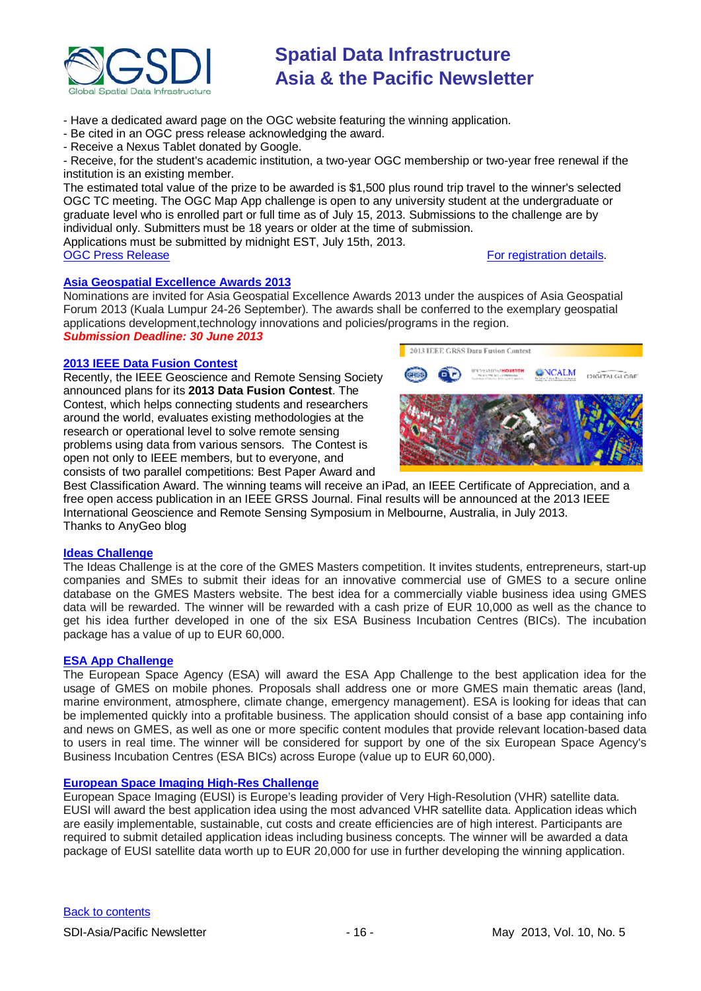

- Have a dedicated award page on the OGC website featuring the winning application.

- Be cited in an OGC press release acknowledging the award.

- Receive a Nexus Tablet donated by Google.

- Receive, for the student's academic institution, a two-year OGC membership or two-year free renewal if the institution is an existing member.

The estimated total value of the prize to be awarded is \$1,500 plus round trip travel to the winner's selected OGC TC meeting. The OGC Map App challenge is open to any university student at the undergraduate or graduate level who is enrolled part or full time as of July 15, 2013. Submissions to the challenge are by individual only. Submitters must be 18 years or older at the time of submission.

Applications must be submitted by midnight EST, July 15th, 2013.<br>OGC Press Release

### [For registration details.](http://appchallenge.opengeospatial.org/)

#### **[Asia Geospatial Excellence Awards 2013](http://www.asiageospatialforum.org/2013/nomination.htm)**

Nominations are invited for Asia Geospatial Excellence Awards 2013 under the auspices of Asia Geospatial Forum 2013 (Kuala Lumpur 24-26 September). The awards shall be conferred to the exemplary geospatial applications development,technology innovations and policies/programs in the region.

*Submission Deadline: 30 June 2013*

#### **[2013 IEEE Data Fusion Contest](http://www.grss-ieee.org/community/technical-committees/data-fusion/data-fusion-contest/)**

Recently, the IEEE Geoscience and Remote Sensing Society announced plans for its **2013 Data Fusion Contest**. The Contest, which helps connecting students and researchers around the world, evaluates existing methodologies at the research or operational level to solve remote sensing problems using data from various sensors. The Contest is open not only to IEEE members, but to everyone, and consists of two parallel competitions: Best Paper Award and



Best Classification Award. The winning teams will receive an iPad, an IEEE Certificate of Appreciation, and a free open access publication in an IEEE GRSS Journal. Final results will be announced at the 2013 IEEE International Geoscience and Remote Sensing Symposium in Melbourne, Australia, in July 2013. Thanks to AnyGeo blog

#### **[Ideas Challenge](http://www.gmes-masters.com/ideas-challenge)**

The Ideas Challenge is at the core of the GMES Masters competition. It invites students, entrepreneurs, start-up companies and SMEs to submit their ideas for an innovative commercial use of GMES to a secure online database on the GMES Masters website. The best idea for a commercially viable business idea using GMES data will be rewarded. The winner will be rewarded with a cash prize of EUR 10,000 as well as the chance to get his idea further developed in one of the six ESA Business Incubation Centres (BICs). The incubation package has a value of up to EUR 60,000.

#### **[ESA App Challenge](http://www.gmes-masters.com/esa-app-challenge)**

The European Space Agency (ESA) will award the ESA App Challenge to the best application idea for the usage of GMES on mobile phones. Proposals shall address one or more GMES main thematic areas (land, marine environment, atmosphere, climate change, emergency management). ESA is looking for ideas that can be implemented quickly into a profitable business. The application should consist of a base app containing info and news on GMES, as well as one or more specific content modules that provide relevant location-based data to users in real time. The winner will be considered for support by one of the six European Space Agency's Business Incubation Centres (ESA BICs) across Europe (value up to EUR 60,000).

#### **[European Space Imaging High-Res Challenge](http://www.gmes-masters.com/european-space-0)**

European Space Imaging (EUSI) is Europe's leading provider of Very High-Resolution (VHR) satellite data. EUSI will award the best application idea using the most advanced VHR satellite data. Application ideas which are easily implementable, sustainable, cut costs and create efficiencies are of high interest. Participants are required to submit detailed application ideas including business concepts. The winner will be awarded a data package of EUSI satellite data worth up to EUR 20,000 for use in further developing the winning application.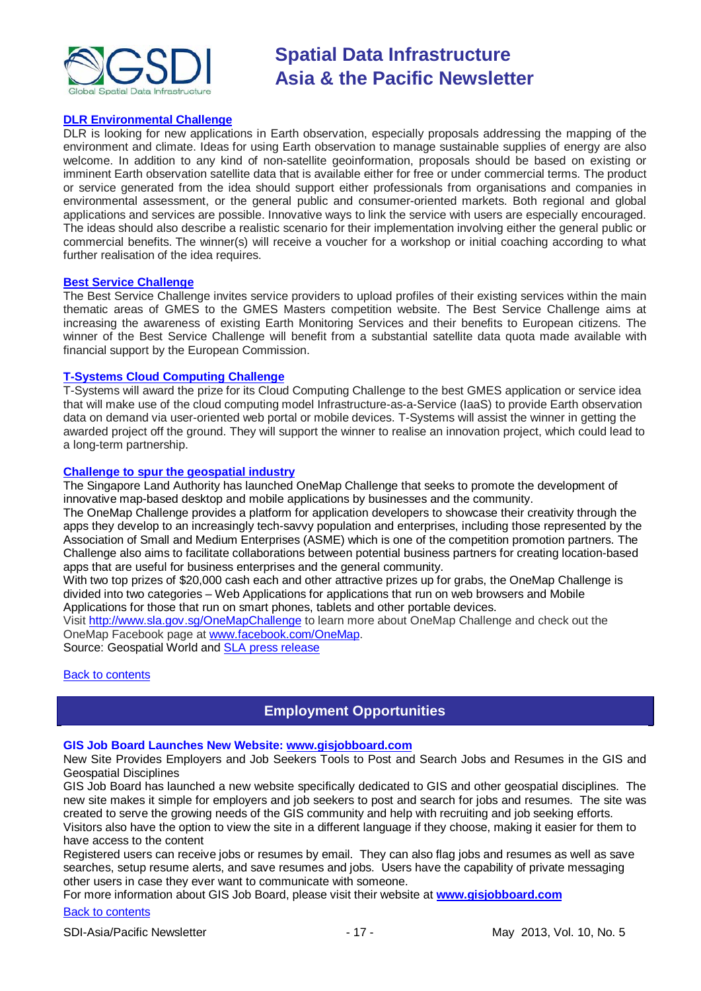

#### **[DLR Environmental Challenge](http://www.gmes-masters.com/dlr-environmental)**

DLR is looking for new applications in Earth observation, especially proposals addressing the mapping of the environment and climate. Ideas for using Earth observation to manage sustainable supplies of energy are also welcome. In addition to any kind of non-satellite geoinformation, proposals should be based on existing or imminent Earth observation satellite data that is available either for free or under commercial terms. The product or service generated from the idea should support either professionals from organisations and companies in environmental assessment, or the general public and consumer-oriented markets. Both regional and global applications and services are possible. Innovative ways to link the service with users are especially encouraged. The ideas should also describe a realistic scenario for their implementation involving either the general public or commercial benefits. The winner(s) will receive a voucher for a workshop or initial coaching according to what further realisation of the idea requires.

#### **[Best Service Challenge](http://www.gmes-masters.com/best-service)**

The Best Service Challenge invites service providers to upload profiles of their existing services within the main thematic areas of GMES to the GMES Masters competition website. The Best Service Challenge aims at increasing the awareness of existing Earth Monitoring Services and their benefits to European citizens. The winner of the Best Service Challenge will benefit from a substantial satellite data quota made available with financial support by the European Commission.

#### **[T-Systems Cloud Computing Challenge](http://www.gmes-masters.com/t-systems-cloud)**

T-Systems will award the prize for its Cloud Computing Challenge to the best GMES application or service idea that will make use of the cloud computing model Infrastructure-as-a-Service (IaaS) to provide Earth observation data on demand via user-oriented web portal or mobile devices. T-Systems will assist the winner in getting the awarded project off the ground. They will support the winner to realise an innovation project, which could lead to a long-term partnership.

#### **[Challenge to spur the geospatial industry](http://geospatialworld.net/index.php?option=com_content&view=article&id=23850:challenge-to-spur-the-geospatial-industry&catid=75:miscellaneous-events)**

The Singapore Land Authority has launched OneMap Challenge that seeks to promote the development of innovative map-based desktop and mobile applications by businesses and the community.

The OneMap Challenge provides a platform for application developers to showcase their creativity through the apps they develop to an increasingly tech-savvy population and enterprises, including those represented by the Association of Small and Medium Enterprises (ASME) which is one of the competition promotion partners. The Challenge also aims to facilitate collaborations between potential business partners for creating location-based apps that are useful for business enterprises and the general community.

With two top prizes of \$20,000 cash each and other attractive prizes up for grabs, the OneMap Challenge is divided into two categories – Web Applications for applications that run on web browsers and Mobile Applications for those that run on smart phones, tablets and other portable devices.

Visit <http://www.sla.gov.sg/OneMapChallenge> to learn more about OneMap Challenge and check out the OneMap Facebook page at [www.facebook.com/OneMap.](http://www.facebook.com/OneMap)

Source: Geospatial World and [SLA press release](http://www.sla.gov.sg/htm/new/new2012/new0401.htm)

#### <span id="page-16-0"></span>**[Back to contents](#page-0-0)**

## **Employment Opportunities**

#### **GIS Job Board Launches New Website: [www.gisjobboard.com](http://www.gisjobboard.com/)**

New Site Provides Employers and Job Seekers Tools to Post and Search Jobs and Resumes in the GIS and Geospatial Disciplines

GIS Job Board has launched a new website specifically dedicated to GIS and other geospatial disciplines. The new site makes it simple for employers and job seekers to post and search for jobs and resumes. The site was created to serve the growing needs of the GIS community and help with recruiting and job seeking efforts. Visitors also have the option to view the site in a different language if they choose, making it easier for them to have access to the content

Registered users can receive jobs or resumes by email. They can also flag jobs and resumes as well as save searches, setup resume alerts, and save resumes and jobs. Users have the capability of private messaging other users in case they ever want to communicate with someone.

For more information about GIS Job Board, please visit their website at **[www.gisjobboard.com](http://www.gisjobboard.com/)**

#### [Back to contents](#page-0-0)

SDI-Asia/Pacific Newsletter - 17 - May 2013, Vol. 10, No. 5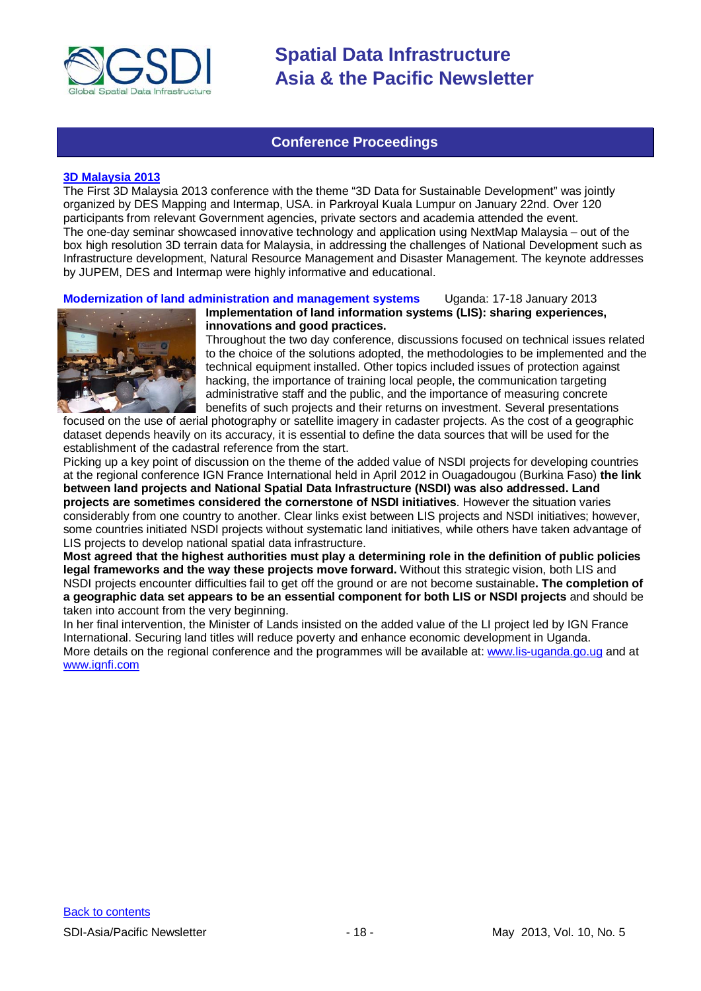

### **Conference Proceedings**

#### <span id="page-17-0"></span>**[3D Malaysia 2013](http://www.asmmag.com/2012-12-30-14-58-59/event-coverage/4730-takeaways-from-3d-malaysia-2013.html)**

The First 3D Malaysia 2013 conference with the theme "3D Data for Sustainable Development" was jointly organized by DES Mapping and Intermap, USA. in Parkroyal Kuala Lumpur on January 22nd. Over 120 participants from relevant Government agencies, private sectors and academia attended the event. The one-day seminar showcased innovative technology and application using NextMap Malaysia – out of the box high resolution 3D terrain data for Malaysia, in addressing the challenges of National Development such as Infrastructure development, Natural Resource Management and Disaster Management. The keynote addresses by JUPEM, DES and Intermap were highly informative and educational.

**Modernization of land administration and management systems** Uganda: 17-18 January 2013



**Implementation of land information systems (LIS): sharing experiences, innovations and good practices.**

Throughout the two day conference, discussions focused on technical issues related to the choice of the solutions adopted, the methodologies to be implemented and the technical equipment installed. Other topics included issues of protection against hacking, the importance of training local people, the communication targeting administrative staff and the public, and the importance of measuring concrete benefits of such projects and their returns on investment. Several presentations

focused on the use of aerial photography or satellite imagery in cadaster projects. As the cost of a geographic dataset depends heavily on its accuracy, it is essential to define the data sources that will be used for the establishment of the cadastral reference from the start.

Picking up a key point of discussion on the theme of the added value of NSDI projects for developing countries at the regional conference IGN France International held in April 2012 in Ouagadougou (Burkina Faso) **the link between land projects and National Spatial Data Infrastructure (NSDI) was also addressed. Land projects are sometimes considered the cornerstone of NSDI initiatives**. However the situation varies considerably from one country to another. Clear links exist between LIS projects and NSDI initiatives; however, some countries initiated NSDI projects without systematic land initiatives, while others have taken advantage of LIS projects to develop national spatial data infrastructure.

**Most agreed that the highest authorities must play a determining role in the definition of public policies legal frameworks and the way these projects move forward.** Without this strategic vision, both LIS and NSDI projects encounter difficulties fail to get off the ground or are not become sustainable**. The completion of a geographic data set appears to be an essential component for both LIS or NSDI projects** and should be taken into account from the very beginning.

In her final intervention, the Minister of Lands insisted on the added value of the LI project led by IGN France International. Securing land titles will reduce poverty and enhance economic development in Uganda. More details on the regional conference and the programmes will be available at: [www.lis-uganda.go.ug](http://www.lis-uganda.go.ug/) and at [www.ignfi.com](http://www.ignfi.com/)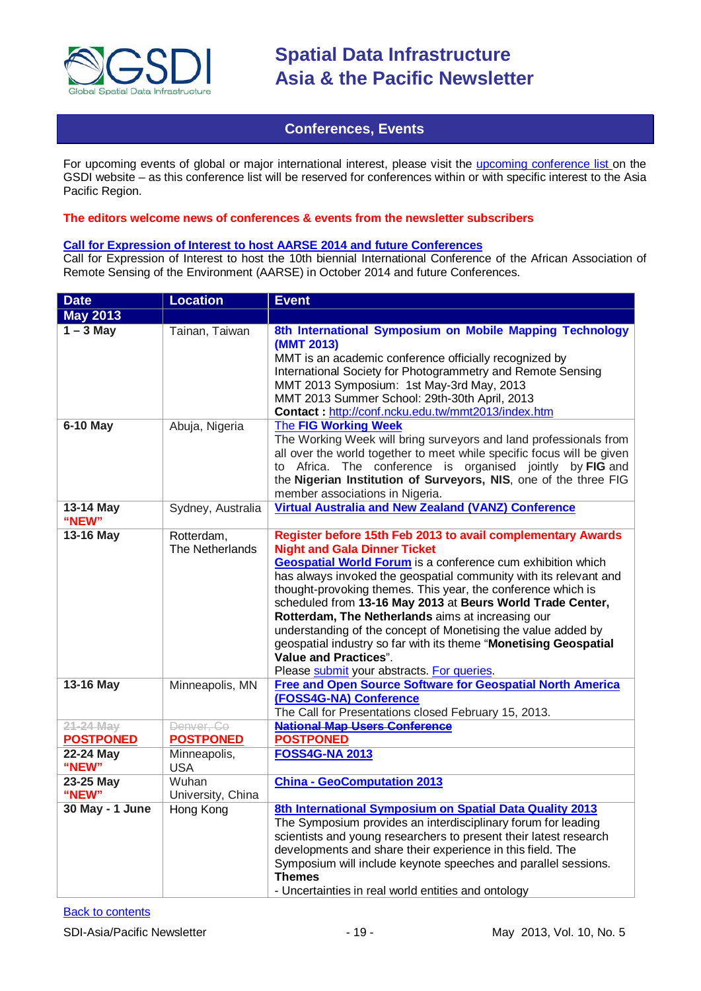

### **Conferences, Events**

<span id="page-18-0"></span>For upcoming events of global or major international interest, please visit the [upcoming conference list o](http://gsdi.org/events/upcnf.asp)n the GSDI website – as this conference list will be reserved for conferences within or with specific interest to the Asia Pacific Region.

#### **The editors welcome news of conferences & events from the newsletter subscribers**

### **[Call for Expression of Interest to host AARSE 2014 and future Conferences](http://lists.gsdi.org/pipermail/sdi-africa/2010-November/001135.html)**

Call for Expression of Interest to host the 10th biennial International Conference of the African Association of Remote Sensing of the Environment (AARSE) in October 2014 and future Conferences.

| <b>Date</b>                   | <b>Location</b>                | <b>Event</b>                                                                                                                                                                                                                                                                                                                                                                                                                                                                                                                                                                                                                                        |
|-------------------------------|--------------------------------|-----------------------------------------------------------------------------------------------------------------------------------------------------------------------------------------------------------------------------------------------------------------------------------------------------------------------------------------------------------------------------------------------------------------------------------------------------------------------------------------------------------------------------------------------------------------------------------------------------------------------------------------------------|
| <b>May 2013</b>               |                                |                                                                                                                                                                                                                                                                                                                                                                                                                                                                                                                                                                                                                                                     |
| $1 - 3$ May                   | Tainan, Taiwan                 | 8th International Symposium on Mobile Mapping Technology<br>(MMT 2013)<br>MMT is an academic conference officially recognized by<br>International Society for Photogrammetry and Remote Sensing<br>MMT 2013 Symposium: 1st May-3rd May, 2013<br>MMT 2013 Summer School: 29th-30th April, 2013<br>Contact: http://conf.ncku.edu.tw/mmt2013/index.htm                                                                                                                                                                                                                                                                                                 |
| <b>6-10 May</b>               | Abuja, Nigeria                 | The FIG Working Week<br>The Working Week will bring surveyors and land professionals from<br>all over the world together to meet while specific focus will be given<br>to Africa. The conference is organised jointly by FIG and<br>the Nigerian Institution of Surveyors, NIS, one of the three FIG<br>member associations in Nigeria.                                                                                                                                                                                                                                                                                                             |
| 13-14 May<br>"NEW"            | Sydney, Australia              | <b>Virtual Australia and New Zealand (VANZ) Conference</b>                                                                                                                                                                                                                                                                                                                                                                                                                                                                                                                                                                                          |
| 13-16 May                     | Rotterdam,<br>The Netherlands  | Register before 15th Feb 2013 to avail complementary Awards<br><b>Night and Gala Dinner Ticket</b><br><b>Geospatial World Forum</b> is a conference cum exhibition which<br>has always invoked the geospatial community with its relevant and<br>thought-provoking themes. This year, the conference which is<br>scheduled from 13-16 May 2013 at Beurs World Trade Center,<br>Rotterdam, The Netherlands aims at increasing our<br>understanding of the concept of Monetising the value added by<br>geospatial industry so far with its theme "Monetising Geospatial<br><b>Value and Practices".</b><br>Please submit your abstracts. For queries. |
| 13-16 May                     | Minneapolis, MN                | <b>Free and Open Source Software for Geospatial North America</b><br>(FOSS4G-NA) Conference<br>The Call for Presentations closed February 15, 2013.                                                                                                                                                                                                                                                                                                                                                                                                                                                                                                 |
| 21-24 May<br><b>POSTPONED</b> | Denver, Co<br><b>POSTPONED</b> | <b>National Map Users Conference</b><br><b>POSTPONED</b>                                                                                                                                                                                                                                                                                                                                                                                                                                                                                                                                                                                            |
| 22-24 May<br>"NEW"            | Minneapolis,<br><b>USA</b>     | <b>FOSS4G-NA 2013</b>                                                                                                                                                                                                                                                                                                                                                                                                                                                                                                                                                                                                                               |
| 23-25 May<br>"NEW"            | Wuhan<br>University, China     | <b>China - GeoComputation 2013</b>                                                                                                                                                                                                                                                                                                                                                                                                                                                                                                                                                                                                                  |
| 30 May - 1 June               | <b>Hong Kong</b>               | 8th International Symposium on Spatial Data Quality 2013<br>The Symposium provides an interdisciplinary forum for leading<br>scientists and young researchers to present their latest research<br>developments and share their experience in this field. The<br>Symposium will include keynote speeches and parallel sessions.<br><b>Themes</b><br>- Uncertainties in real world entities and ontology                                                                                                                                                                                                                                              |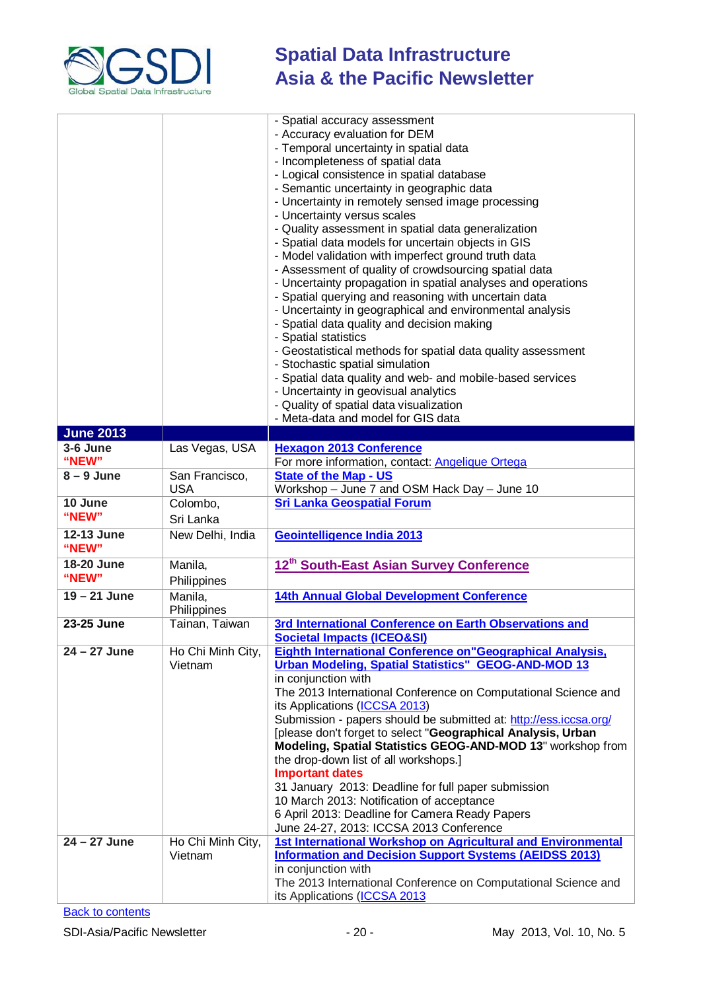

|                     |                              | - Spatial accuracy assessment<br>- Accuracy evaluation for DEM<br>- Temporal uncertainty in spatial data<br>- Incompleteness of spatial data<br>- Logical consistence in spatial database<br>- Semantic uncertainty in geographic data<br>- Uncertainty in remotely sensed image processing<br>- Uncertainty versus scales<br>- Quality assessment in spatial data generalization<br>- Spatial data models for uncertain objects in GIS<br>- Model validation with imperfect ground truth data<br>- Assessment of quality of crowdsourcing spatial data<br>- Uncertainty propagation in spatial analyses and operations<br>- Spatial querying and reasoning with uncertain data<br>- Uncertainty in geographical and environmental analysis<br>- Spatial data quality and decision making<br>- Spatial statistics<br>- Geostatistical methods for spatial data quality assessment<br>- Stochastic spatial simulation<br>- Spatial data quality and web- and mobile-based services<br>- Uncertainty in geovisual analytics<br>- Quality of spatial data visualization<br>- Meta-data and model for GIS data |
|---------------------|------------------------------|------------------------------------------------------------------------------------------------------------------------------------------------------------------------------------------------------------------------------------------------------------------------------------------------------------------------------------------------------------------------------------------------------------------------------------------------------------------------------------------------------------------------------------------------------------------------------------------------------------------------------------------------------------------------------------------------------------------------------------------------------------------------------------------------------------------------------------------------------------------------------------------------------------------------------------------------------------------------------------------------------------------------------------------------------------------------------------------------------------|
| <b>June 2013</b>    |                              |                                                                                                                                                                                                                                                                                                                                                                                                                                                                                                                                                                                                                                                                                                                                                                                                                                                                                                                                                                                                                                                                                                            |
| 3-6 June            | Las Vegas, USA               | <b>Hexagon 2013 Conference</b>                                                                                                                                                                                                                                                                                                                                                                                                                                                                                                                                                                                                                                                                                                                                                                                                                                                                                                                                                                                                                                                                             |
| "NEW"               |                              | For more information, contact: <b>Angelique Ortega</b>                                                                                                                                                                                                                                                                                                                                                                                                                                                                                                                                                                                                                                                                                                                                                                                                                                                                                                                                                                                                                                                     |
| $8 - 9$ June        | San Francisco,<br><b>USA</b> | <b>State of the Map - US</b><br>Workshop - June 7 and OSM Hack Day - June 10                                                                                                                                                                                                                                                                                                                                                                                                                                                                                                                                                                                                                                                                                                                                                                                                                                                                                                                                                                                                                               |
| 10 June             | Colombo,                     | <b>Sri Lanka Geospatial Forum</b>                                                                                                                                                                                                                                                                                                                                                                                                                                                                                                                                                                                                                                                                                                                                                                                                                                                                                                                                                                                                                                                                          |
| "NEW"               | Sri Lanka                    |                                                                                                                                                                                                                                                                                                                                                                                                                                                                                                                                                                                                                                                                                                                                                                                                                                                                                                                                                                                                                                                                                                            |
| 12-13 June<br>"NEW" | New Delhi, India             | Geointelligence India 2013                                                                                                                                                                                                                                                                                                                                                                                                                                                                                                                                                                                                                                                                                                                                                                                                                                                                                                                                                                                                                                                                                 |
| 18-20 June<br>"NEW" | Manila,<br>Philippines       | 12 <sup>th</sup> South-East Asian Survey Conference                                                                                                                                                                                                                                                                                                                                                                                                                                                                                                                                                                                                                                                                                                                                                                                                                                                                                                                                                                                                                                                        |
| $19 - 21$ June      | Manila,<br>Philippines       | <b>14th Annual Global Development Conference</b>                                                                                                                                                                                                                                                                                                                                                                                                                                                                                                                                                                                                                                                                                                                                                                                                                                                                                                                                                                                                                                                           |
| 23-25 June          | Tainan, Taiwan               | 3rd International Conference on Earth Observations and<br><b>Societal Impacts (ICEO&amp;SI)</b>                                                                                                                                                                                                                                                                                                                                                                                                                                                                                                                                                                                                                                                                                                                                                                                                                                                                                                                                                                                                            |
| 24 - 27 June        | Ho Chi Minh City,<br>Vietnam | Eighth International Conference on "Geographical Analysis,<br><b>Urban Modeling, Spatial Statistics" GEOG-AND-MOD 13</b><br>in conjunction with<br>The 2013 International Conference on Computational Science and<br>its Applications (ICCSA 2013)<br>Submission - papers should be submitted at: http://ess.iccsa.org/<br>[please don't forget to select "Geographical Analysis, Urban<br>Modeling, Spatial Statistics GEOG-AND-MOD 13" workshop from<br>the drop-down list of all workshops.]<br><b>Important dates</b><br>31 January 2013: Deadline for full paper submission<br>10 March 2013: Notification of acceptance<br>6 April 2013: Deadline for Camera Ready Papers<br>June 24-27, 2013: ICCSA 2013 Conference                                                                                                                                                                                                                                                                                                                                                                                 |
| $24 - 27$ June      | Ho Chi Minh City,<br>Vietnam | 1st International Workshop on Agricultural and Environmental<br><b>Information and Decision Support Systems (AEIDSS 2013)</b><br>in conjunction with<br>The 2013 International Conference on Computational Science and<br>its Applications (ICCSA 2013                                                                                                                                                                                                                                                                                                                                                                                                                                                                                                                                                                                                                                                                                                                                                                                                                                                     |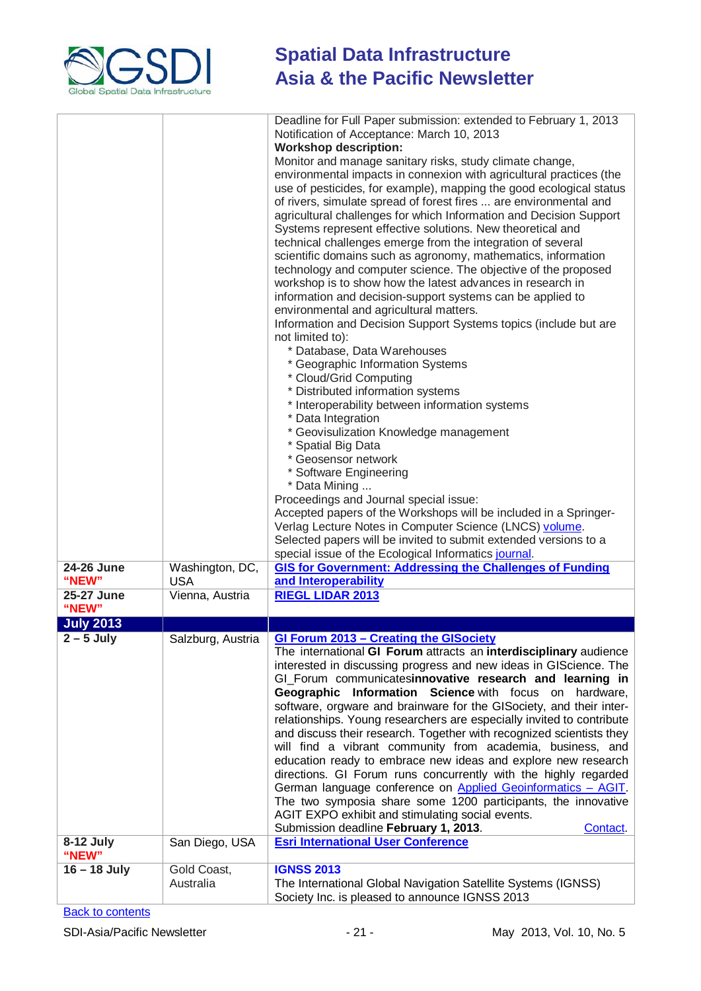

|                     |                               | Deadline for Full Paper submission: extended to February 1, 2013                                                                           |
|---------------------|-------------------------------|--------------------------------------------------------------------------------------------------------------------------------------------|
|                     |                               | Notification of Acceptance: March 10, 2013                                                                                                 |
|                     |                               | <b>Workshop description:</b>                                                                                                               |
|                     |                               | Monitor and manage sanitary risks, study climate change,                                                                                   |
|                     |                               | environmental impacts in connexion with agricultural practices (the<br>use of pesticides, for example), mapping the good ecological status |
|                     |                               | of rivers, simulate spread of forest fires  are environmental and                                                                          |
|                     |                               | agricultural challenges for which Information and Decision Support                                                                         |
|                     |                               | Systems represent effective solutions. New theoretical and                                                                                 |
|                     |                               | technical challenges emerge from the integration of several                                                                                |
|                     |                               | scientific domains such as agronomy, mathematics, information                                                                              |
|                     |                               | technology and computer science. The objective of the proposed                                                                             |
|                     |                               | workshop is to show how the latest advances in research in                                                                                 |
|                     |                               | information and decision-support systems can be applied to<br>environmental and agricultural matters.                                      |
|                     |                               | Information and Decision Support Systems topics (include but are                                                                           |
|                     |                               | not limited to):                                                                                                                           |
|                     |                               | * Database, Data Warehouses                                                                                                                |
|                     |                               | * Geographic Information Systems                                                                                                           |
|                     |                               | * Cloud/Grid Computing                                                                                                                     |
|                     |                               | * Distributed information systems<br>* Interoperability between information systems                                                        |
|                     |                               | * Data Integration                                                                                                                         |
|                     |                               | * Geovisulization Knowledge management                                                                                                     |
|                     |                               | * Spatial Big Data                                                                                                                         |
|                     |                               | * Geosensor network                                                                                                                        |
|                     |                               | * Software Engineering                                                                                                                     |
|                     |                               | * Data Mining<br>Proceedings and Journal special issue:                                                                                    |
|                     |                               | Accepted papers of the Workshops will be included in a Springer-                                                                           |
|                     |                               | Verlag Lecture Notes in Computer Science (LNCS) volume.                                                                                    |
|                     |                               | Selected papers will be invited to submit extended versions to a                                                                           |
|                     |                               | special issue of the Ecological Informatics journal.                                                                                       |
| 24-26 June<br>"NEW" | Washington, DC,<br><b>USA</b> | <b>GIS for Government: Addressing the Challenges of Funding</b><br>and Interoperability                                                    |
| 25-27 June          | Vienna, Austria               | <b>RIEGL LIDAR 2013</b>                                                                                                                    |
| "NEW"               |                               |                                                                                                                                            |
| <b>July 2013</b>    |                               |                                                                                                                                            |
| $2 - 5$ July        |                               | Salzburg, Austria GI Forum 2013 - Creating the GISociety                                                                                   |
|                     |                               | The international GI Forum attracts an interdisciplinary audience                                                                          |
|                     |                               | interested in discussing progress and new ideas in GIScience. The<br>GI_Forum communicatesinnovative research and learning in              |
|                     |                               | Geographic Information Science with focus on hardware,                                                                                     |
|                     |                               | software, orgware and brainware for the GISociety, and their inter-                                                                        |
|                     |                               | relationships. Young researchers are especially invited to contribute                                                                      |
|                     |                               | and discuss their research. Together with recognized scientists they                                                                       |
|                     |                               | will find a vibrant community from academia, business, and                                                                                 |
|                     |                               | education ready to embrace new ideas and explore new research<br>directions. GI Forum runs concurrently with the highly regarded           |
|                     |                               | German language conference on Applied Geoinformatics - AGIT.                                                                               |
|                     |                               | The two symposia share some 1200 participants, the innovative                                                                              |
|                     |                               | AGIT EXPO exhibit and stimulating social events.                                                                                           |
|                     |                               | Submission deadline February 1, 2013.<br>Contact.                                                                                          |
| 8-12 July<br>"NEW"  | San Diego, USA                | <b>Esri International User Conference</b>                                                                                                  |
| $16 - 18$ July      | Gold Coast,                   | <b>IGNSS 2013</b>                                                                                                                          |
|                     | Australia                     | The International Global Navigation Satellite Systems (IGNSS)                                                                              |
|                     |                               | Society Inc. is pleased to announce IGNSS 2013                                                                                             |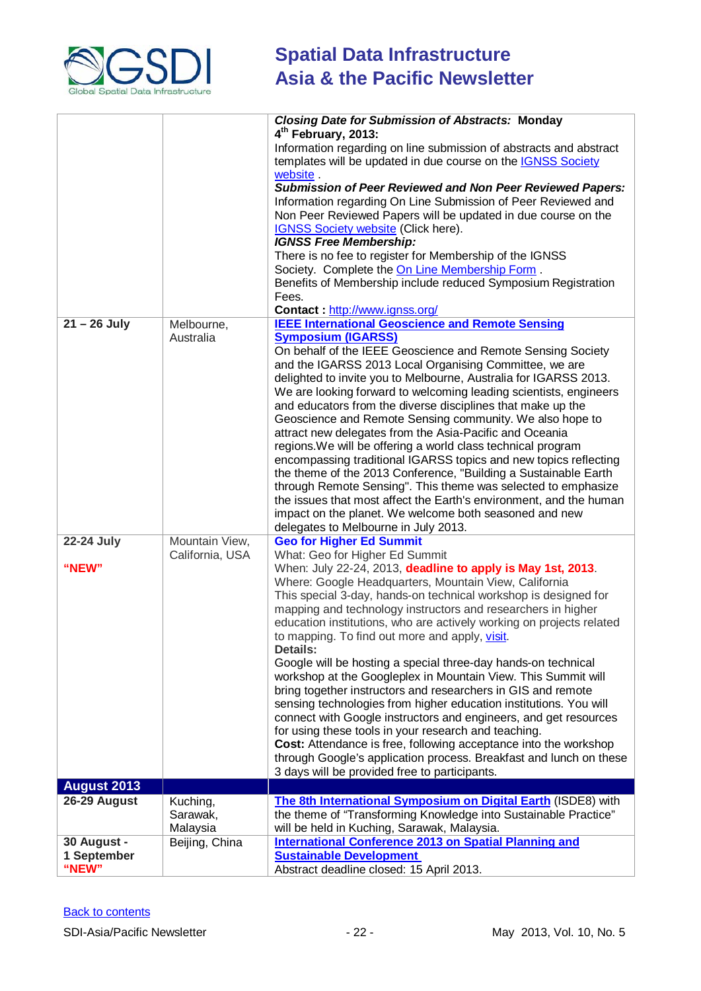

|                                     |                                   | <b>Closing Date for Submission of Abstracts: Monday</b><br>4 <sup>th</sup> February, 2013:<br>Information regarding on line submission of abstracts and abstract<br>templates will be updated in due course on the <b>IGNSS Society</b><br>website.<br><b>Submission of Peer Reviewed and Non Peer Reviewed Papers:</b><br>Information regarding On Line Submission of Peer Reviewed and<br>Non Peer Reviewed Papers will be updated in due course on the<br>IGNSS Society website (Click here).<br><b>IGNSS Free Membership:</b><br>There is no fee to register for Membership of the IGNSS<br>Society. Complete the On Line Membership Form.<br>Benefits of Membership include reduced Symposium Registration<br>Fees.<br>Contact: http://www.ignss.org/                                                                                                                                                                                                                                                                                                              |
|-------------------------------------|-----------------------------------|-------------------------------------------------------------------------------------------------------------------------------------------------------------------------------------------------------------------------------------------------------------------------------------------------------------------------------------------------------------------------------------------------------------------------------------------------------------------------------------------------------------------------------------------------------------------------------------------------------------------------------------------------------------------------------------------------------------------------------------------------------------------------------------------------------------------------------------------------------------------------------------------------------------------------------------------------------------------------------------------------------------------------------------------------------------------------|
| $21 - 26$ July                      | Melbourne,<br>Australia           | <b>IEEE International Geoscience and Remote Sensing</b><br><b>Symposium (IGARSS)</b><br>On behalf of the IEEE Geoscience and Remote Sensing Society<br>and the IGARSS 2013 Local Organising Committee, we are<br>delighted to invite you to Melbourne, Australia for IGARSS 2013.<br>We are looking forward to welcoming leading scientists, engineers<br>and educators from the diverse disciplines that make up the<br>Geoscience and Remote Sensing community. We also hope to<br>attract new delegates from the Asia-Pacific and Oceania<br>regions. We will be offering a world class technical program<br>encompassing traditional IGARSS topics and new topics reflecting<br>the theme of the 2013 Conference, "Building a Sustainable Earth<br>through Remote Sensing". This theme was selected to emphasize<br>the issues that most affect the Earth's environment, and the human<br>impact on the planet. We welcome both seasoned and new<br>delegates to Melbourne in July 2013.                                                                            |
| <b>22-24 July</b><br>"NEW"          | Mountain View,<br>California, USA | <b>Geo for Higher Ed Summit</b><br>What: Geo for Higher Ed Summit<br>When: July 22-24, 2013, deadline to apply is May 1st, 2013.<br>Where: Google Headquarters, Mountain View, California<br>This special 3-day, hands-on technical workshop is designed for<br>mapping and technology instructors and researchers in higher<br>education institutions, who are actively working on projects related<br>to mapping. To find out more and apply, visit.<br><b>Details:</b><br>Google will be hosting a special three-day hands-on technical<br>workshop at the Googleplex in Mountain View. This Summit will<br>bring together instructors and researchers in GIS and remote<br>sensing technologies from higher education institutions. You will<br>connect with Google instructors and engineers, and get resources<br>for using these tools in your research and teaching.<br>Cost: Attendance is free, following acceptance into the workshop<br>through Google's application process. Breakfast and lunch on these<br>3 days will be provided free to participants. |
| <b>August 2013</b>                  |                                   |                                                                                                                                                                                                                                                                                                                                                                                                                                                                                                                                                                                                                                                                                                                                                                                                                                                                                                                                                                                                                                                                         |
| 26-29 August                        | Kuching,<br>Sarawak,<br>Malaysia  | The 8th International Symposium on Digital Earth (ISDE8) with<br>the theme of "Transforming Knowledge into Sustainable Practice"<br>will be held in Kuching, Sarawak, Malaysia.                                                                                                                                                                                                                                                                                                                                                                                                                                                                                                                                                                                                                                                                                                                                                                                                                                                                                         |
| 30 August -<br>1 September<br>"NEW" | Beijing, China                    | <b>International Conference 2013 on Spatial Planning and</b><br><b>Sustainable Development</b><br>Abstract deadline closed: 15 April 2013.                                                                                                                                                                                                                                                                                                                                                                                                                                                                                                                                                                                                                                                                                                                                                                                                                                                                                                                              |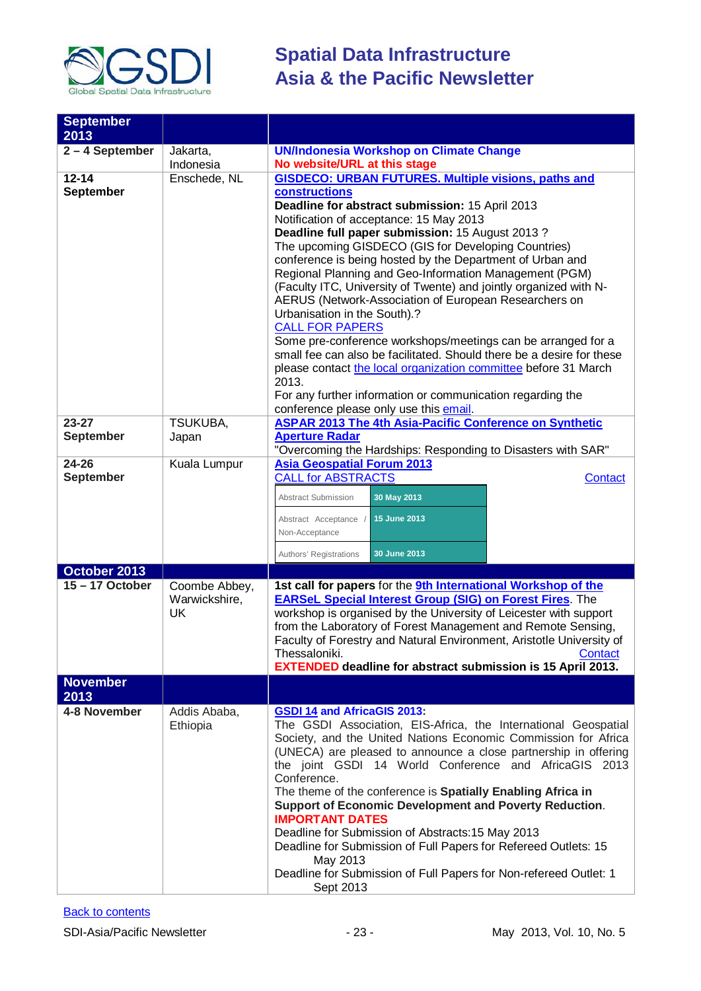

| <b>September</b>  |               |                                                                       |
|-------------------|---------------|-----------------------------------------------------------------------|
| 2013              |               |                                                                       |
| $2 - 4$ September | Jakarta,      | <b>UN/Indonesia Workshop on Climate Change</b>                        |
|                   | Indonesia     | No website/URL at this stage                                          |
| $12 - 14$         | Enschede, NL  | <b>GISDECO: URBAN FUTURES. Multiple visions, paths and</b>            |
| <b>September</b>  |               | <b>constructions</b>                                                  |
|                   |               | Deadline for abstract submission: 15 April 2013                       |
|                   |               | Notification of acceptance: 15 May 2013                               |
|                   |               | Deadline full paper submission: 15 August 2013?                       |
|                   |               | The upcoming GISDECO (GIS for Developing Countries)                   |
|                   |               | conference is being hosted by the Department of Urban and             |
|                   |               | Regional Planning and Geo-Information Management (PGM)                |
|                   |               | (Faculty ITC, University of Twente) and jointly organized with N-     |
|                   |               | AERUS (Network-Association of European Researchers on                 |
|                   |               | Urbanisation in the South).?                                          |
|                   |               | <b>CALL FOR PAPERS</b>                                                |
|                   |               | Some pre-conference workshops/meetings can be arranged for a          |
|                   |               | small fee can also be facilitated. Should there be a desire for these |
|                   |               | please contact the local organization committee before 31 March       |
|                   |               | 2013.                                                                 |
|                   |               | For any further information or communication regarding the            |
|                   |               | conference please only use this email.                                |
| $23 - 27$         | TSUKUBA,      | <b>ASPAR 2013 The 4th Asia-Pacific Conference on Synthetic</b>        |
| <b>September</b>  | Japan         | <b>Aperture Radar</b>                                                 |
|                   |               | "Overcoming the Hardships: Responding to Disasters with SAR"          |
| $24 - 26$         | Kuala Lumpur  | <b>Asia Geospatial Forum 2013</b>                                     |
| <b>September</b>  |               | <b>CALL for ABSTRACTS</b><br><b>Contact</b>                           |
|                   |               | 30 May 2013<br>Abstract Submission                                    |
|                   |               |                                                                       |
|                   |               | 15 June 2013<br>Abstract Acceptance /                                 |
|                   |               | Non-Acceptance                                                        |
|                   |               | 30 June 2013<br>Authors' Registrations                                |
| October 2013      |               |                                                                       |
| $15 - 17$ October | Coombe Abbey, | 1st call for papers for the 9th International Workshop of the         |
|                   | Warwickshire, | <b>EARSeL Special Interest Group (SIG) on Forest Fires.</b> The       |
|                   | <b>UK</b>     | workshop is organised by the University of Leicester with support     |
|                   |               | from the Laboratory of Forest Management and Remote Sensing,          |
|                   |               | Faculty of Forestry and Natural Environment, Aristotle University of  |
|                   |               | Thessaloniki.<br>Contact                                              |
|                   |               | <b>EXTENDED deadline for abstract submission is 15 April 2013.</b>    |
| <b>November</b>   |               |                                                                       |
| 2013              |               |                                                                       |
| 4-8 November      | Addis Ababa,  | <b>GSDI 14 and AfricaGIS 2013:</b>                                    |
|                   | Ethiopia      | The GSDI Association, EIS-Africa, the International Geospatial        |
|                   |               | Society, and the United Nations Economic Commission for Africa        |
|                   |               | (UNECA) are pleased to announce a close partnership in offering       |
|                   |               | the joint GSDI 14 World Conference and AfricaGIS 2013                 |
|                   |               | Conference.                                                           |
|                   |               | The theme of the conference is Spatially Enabling Africa in           |
|                   |               | Support of Economic Development and Poverty Reduction.                |
|                   |               | <b>IMPORTANT DATES</b>                                                |
|                   |               | Deadline for Submission of Abstracts: 15 May 2013                     |
|                   |               | Deadline for Submission of Full Papers for Refereed Outlets: 15       |
|                   |               | May 2013                                                              |
|                   |               | Deadline for Submission of Full Papers for Non-refereed Outlet: 1     |
|                   |               | Sept 2013                                                             |